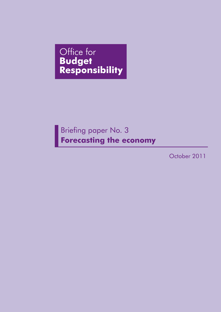Office for **Budget<br>Responsibility** 

# Briefing paper No. 3 **Forecasting the economy**

October 2011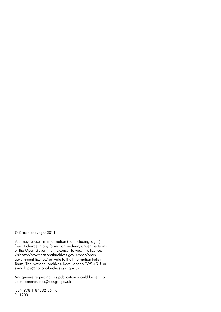© Crown copyright 2011

You may re-use this information (not including logos) free of charge in any format or medium, under the terms of the Open Government Licence. To view this licence, visit http://www.nationalarchives.gov.uk/doc/opengovernment-licence/ or write to the Information Policy Team, The National Archives, Kew, London TW9 4DU, or e-mail: psi@nationalarchives.gsi.gov.uk.

Any queries regarding this publication should be sent to us at: obrenquiries@obr.gsi.gov.uk

ISBN 978-1-84532-861-0 PU1203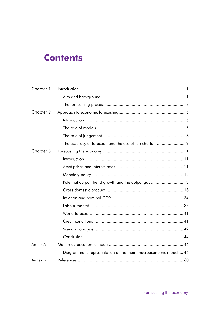# **Contents**

| Chapter 1 |                                                                |
|-----------|----------------------------------------------------------------|
|           |                                                                |
|           |                                                                |
| Chapter 2 |                                                                |
|           |                                                                |
|           |                                                                |
|           |                                                                |
|           |                                                                |
| Chapter 3 |                                                                |
|           |                                                                |
|           |                                                                |
|           |                                                                |
|           | Potential output, trend growth and the output gap 13           |
|           |                                                                |
|           |                                                                |
|           |                                                                |
|           |                                                                |
|           |                                                                |
|           |                                                                |
|           |                                                                |
| Annex A   |                                                                |
|           | Diagrammatic representation of the main macroeconomic model 46 |
| Annex B   |                                                                |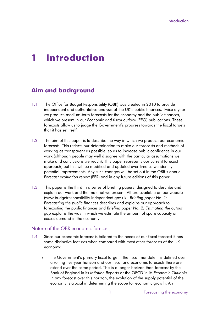# **1 Introduction**

# <span id="page-4-0"></span>**Aim and background**

- 1.1 The Office for Budget Responsibility (OBR) was created in 2010 to provide independent and authoritative analysis of the UK's public finances. Twice a year we produce medium-term forecasts for the economy and the public finances, which we present in our *Economic and fiscal outlook* (EFO) publications. These forecasts allow us to judge the Government's progress towards the fiscal targets that it has set itself.
- 1.2 The aim of this paper is to describe the way in which we produce our economic forecasts. This reflects our determination to make our forecasts and methods of working as transparent as possible, so as to increase public confidence in our work (although people may well disagree with the particular assumptions we make and conclusions we reach). This paper represents our current forecast approach, but this will be modified and updated over time as we identify potential improvements. Any such changes will be set out in the OBR's annual *Forecast evaluation report* (FER) and in any future editions of this paper.
- 1.3 This paper is the third in a series of briefing papers, designed to describe and explain our work and the material we present. All are available on our website (www.budgetresponsibility.independent.gov.uk). *Briefing paper No. 1: Forecasting the public finances* describes and explains our approach to forecasting the public finances and *Briefing paper No. 2: Estimating the output gap* explains the way in which we estimate the amount of spare capacity or excess demand in the economy.

#### Nature of the OBR economic forecast

- <span id="page-4-1"></span>1.4 Since our economic forecast is tailored to the needs of our fiscal forecast it has some distinctive features when compared with most other forecasts of the UK economy:
	- the Government's primary fiscal target the fiscal mandate is defined over a rolling five-year horizon and our fiscal and economic forecasts therefore extend over the same period. This is a longer horizon than forecast by the Bank of England in its *Inflation Reports* or the OECD in its *Economic Outlooks*. In any forecast over this horizon, the evolution of the supply potential of the economy is crucial in determining the scope for economic growth. An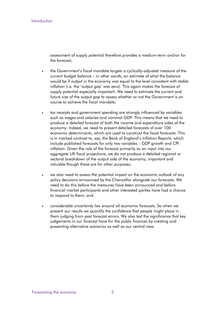assessment of supply potential therefore provides a medium-term anchor for the forecast;

- . the Government's fiscal mandate targets a cyclically-adjusted measure of the current budget balance – in other words, an estimate of what the balance would be if output in the economy was equal to the level consistent with stable inflation (i.e. the 'output gap' was zero). This again makes the forecast of supply potential especially important. We need to estimate the current and future size of the output gap to assess whether or not the Government is on course to achieve the fiscal mandate;
- tax receipts and government spending are strongly influenced by variables such as wages and salaries and nominal GDP. This means that we need to produce a detailed forecast of both the income and expenditure sides of the economy. Indeed, we need to present detailed forecasts of over 100 economic determinants, which are used to construct the fiscal forecasts. This is in marked contrast to, say, the Bank of England's Inflation Reports, which include published forecasts for only two variables – GDP growth and CPI inflation. Given the role of the forecast primarily as an input into our aggregate UK fiscal projections, we do not produce a detailed regional or sectoral breakdown of the output side of the economy, important and valuable though these are for other purposes;
- we also need to assess the potential impact on the economic outlook of any policy decisions announced by the Chancellor alongside our forecasts. We need to do this before the measures have been announced and before financial market participants and other interested parties have had a chance to respond to them; and
- considerable uncertainty lies around all economic forecasts. So when we present our results we quantify the confidence that people might place in them judging from past forecast errors. We also test the significance that key judgements in our forecast have for the public finances by creating and presenting alternative scenarios as well as our central view.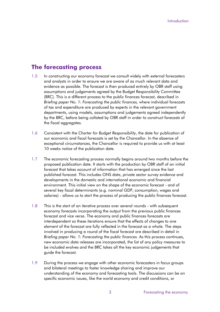## <span id="page-6-0"></span>**The forecasting process**

- 1.5 In constructing our economy forecast we consult widely with external forecasters and analysts in order to ensure we are aware of as much relevant data and evidence as possible. The forecast is then produced entirely by OBR staff using assumptions and judgements agreed by the Budget Responsibility Committee (BRC). This is a different process to the public finances forecast, described in *Briefing paper No. 1: Forecasting the public finances,* where individual forecasts of tax and expenditure are produced by experts in the relevant government departments, using models, assumptions and judgements agreed independently by the BRC, before being collated by OBR staff in order to construct forecasts of the fiscal aggregates.
- 1.6 Consistent with the *Charter for Budget Responsibility*, the date for publication of our economic and fiscal forecasts is set by the Chancellor. In the absence of exceptional circumstances, the Chancellor is required to provide us with at least 10 weeks notice of the publication date.
- 1.7 The economic forecasting process normally begins around two months before the proposed publication date. It starts with the production by OBR staff of an initial forecast that takes account of information that has emerged since the last published forecast. This includes ONS data, private sector survey evidence and developments in the domestic and international economic and financial environment. This initial view on the shape of the economic forecast - and of several key fiscal determinants (e.g. nominal GDP, consumption, wages and salaries) - allows us to start the process of producing the public finances forecast.
- 1.8 This is the start of an iterative process over several rounds with subsequent economy forecasts incorporating the output from the previous public finances forecast and vice versa. The economy and public finances forecasts are interdependent so these iterations ensure that the effects of changes to one element of the forecast are fully reflected in the forecast as a whole. The steps involved in producing a round of the fiscal forecast are described in detail in *Briefing paper No. 1: Forecasting the public finances.* As this process continues, new economic data releases are incorporated, the list of any policy measures to be included evolves and the BRC takes all the key economic judgements that guide the forecast.
- 1.9 During the process we engage with other economic forecasters in focus groups and bilateral meetings to foster knowledge sharing and improve our understanding of the economy and forecasting tools. The discussions can be on specific economic issues, like the world economy and credit conditions, or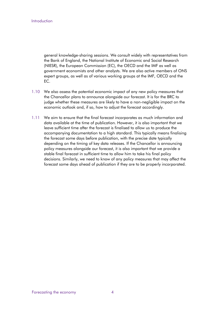Introduction

general knowledge-sharing sessions. We consult widely with representatives from the Bank of England, the National Institute of Economic and Social Research (NIESR), the European Commission (EC), the OECD and the IMF as well as government economists and other analysts. We are also active members of ONS expert groups, as well as of various working groups at the IMF, OECD and the EC.

- 1.10 We also assess the potential economic impact of any new policy measures that the Chancellor plans to announce alongside our forecast. It is for the BRC to judge whether these measures are likely to have a non-negligible impact on the economic outlook and, if so, how to adjust the forecast accordingly.
- 1.11 We aim to ensure that the final forecast incorporates as much information and data available at the time of publication. However, it is also important that we leave sufficient time after the forecast is finalised to allow us to produce the accompanying documentation to a high standard. This typically means finalising the forecast some days before publication, with the precise date typically depending on the timing of key data releases. If the Chancellor is announcing policy measures alongside our forecast, it is also important that we provide a stable final forecast in sufficient time to allow him to take his final policy decisions. Similarly, we need to know of any policy measures that may affect the forecast some days ahead of publication if they are to be properly incorporated.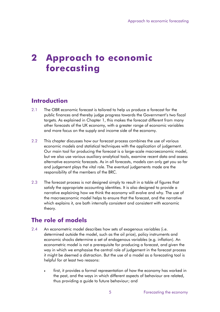# **2 Approach to economic forecasting**

# <span id="page-8-0"></span>**Introduction**

- 2.1 The OBR economic forecast is tailored to help us produce a forecast for the public finances and thereby judge progress towards the Government's two fiscal targets. As explained in Chapter 1, this makes the forecast different from many other forecasts of the UK economy, with a greater range of economic variables and more focus on the supply and income side of the economy.
- 2.2 This chapter discusses how our forecast process combines the use of various economic models and statistical techniques with the application of judgement. Our main tool for producing the forecast is a large-scale macroeconomic model, but we also use various auxiliary analytical tools, examine recent data and assess alternative economic forecasts. As in all forecasts, models can only get you so far and judgement plays the vital role. The eventual judgements made are the responsibility of the members of the BRC.
- 2.3 The forecast process is not designed simply to result in a table of figures that satisfy the appropriate accounting identities. It is also designed to provide a narrative explaining how we think the economy will evolve and why. The use of the macroeconomic model helps to ensure that the forecast, and the narrative which explains it, are both internally consistent and consistent with economic theory.

# <span id="page-8-1"></span>**The role of models**

- 2.4 An econometric model describes how sets of exogenous variables (i.e. determined outside the model, such as the oil price), policy instruments and economic shocks determine a set of endogenous variables (e.g. inflation). An econometric model is not a prerequisite for producing a forecast, and given the way in which we emphasise the central role of judgement in the forecast process it might be deemed a distraction. But the use of a model as a forecasting tool is helpful for at least two reasons:
	- first, it provides a formal representation of how the economy has worked in the past, and the ways in which different aspects of behaviour are related, thus providing a guide to future behaviour; and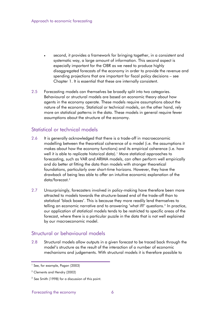- second, it provides a framework for bringing together, in a consistent and systematic way, a large amount of information. This second aspect is especially important for the OBR as we need to produce highly disaggregated forecasts of the economy in order to provide the revenue and spending projections that are important for fiscal policy decisions – see Chapter 1. It is essential that these are internally consistent.
- 2.5 Forecasting models can themselves be broadly split into two categories. Behavioural or structural models are based on economic theory about how agents in the economy operate. These models require assumptions about the nature of the economy. Statistical or technical models, on the other hand, rely more on statistical patterns in the data. These models in general require fewer assumptions about the structure of the economy.

## Statistical or technical models

- 2.6 It is generally acknowledged that there is a trade-off in macroeconomic modelling between the theoretical coherence of a model (i.e. the assumptions it makes about how the economy functions) and its empirical coherence (i.e. how well it is able to replicate historical data).<sup>[1](#page-4-1)</sup> More statistical approaches to forecasting, such as VAR and ARIMA models, can often perform well empirically and do better at fitting the data than models with stronger theoretical foundations, particularly over short-time horizons. However, they have the drawback of being less able to offer an intuitive economic explanation of the data/forecast.[2](#page-9-0)
- 2.7 Unsurprisingly, forecasters involved in policy-making have therefore been more attracted to models towards the structure-based end of the trade-off than to statistical 'black boxes'. This is because they more readily lend themselves to telling an economic narrative and to answering 'what if?' questions.<sup>[3](#page-9-1)</sup> In practice, our application of statistical models tends to be restricted to specific areas of the forecast, where there is a particular puzzle in the data that is not well explained by our macroeconomic model.

## Structural or behavioural models

2.8 Structural models allow outputs in a given forecast to be traced back through the model's structure as the result of the interaction of a number of economic mechanisms and judgements. With structural models it is therefore possible to

<sup>1</sup> See, for example, Pagan (2003)

<span id="page-9-0"></span><sup>2</sup> Clements and Hendry (2002)

<span id="page-9-1"></span><sup>&</sup>lt;sup>3</sup> See Smith (1998) for a discussion of this point.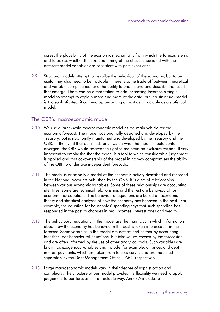assess the plausibility of the economic mechanisms from which the forecast stems and to assess whether the size and timing of the effects associated with the different model variables are consistent with past experience.

2.9 Structural models attempt to describe the behaviour of the economy, but to be useful they also need to be tractable – there is some trade-off between theoretical and variable completeness and the ability to understand and describe the results that emerge. There can be a temptation to add increasing layers to a single model to attempt to explain more and more of the data, but if a structural model is too sophisticated, it can end up becoming almost as intractable as a statistical model.

### The OBR's macroeconomic model

- 2.10 We use a large-scale macroeconomic model as the main vehicle for the economic forecast. The model was originally designed and developed by the Treasury, but is now jointly maintained and developed by the Treasury and the OBR. In the event that our needs or views on what the model should contain diverged, the OBR would reserve the right to maintain an exclusive version. It very important to emphasise that the model is a tool to which considerable judgement is applied and that co-ownership of the model in no way compromises the ability of the OBR to undertake independent forecasts.
- 2.11 The model is principally a model of the economic activity described and recorded in the National Accounts published by the ONS. It is a set of relationships between various economic variables. Some of these relationships are accounting identities, some are technical relationships and the rest are behavioural (or econometric) equations. The behavioural equations are based on economic theory and statistical analyses of how the economy has behaved in the past. For example, the equation for households' spending says that such spending has responded in the past to changes in real incomes, interest rates and wealth.
- 2.12 The behavioural equations in the model are the main way in which information about how the economy has behaved in the past is taken into account in the forecast. Some variables in the model are determined neither by accounting identities, nor behavioural equations, but take values chosen by the forecaster and are often informed by the use of other analytical tools. Such variables are known as exogenous variables and include, for example, oil prices and debt interest payments, which are taken from futures curves and are modelled separately by the Debt Management Office (DMO) respectively.
- 2.13 Large macroeconomic models vary in their degree of sophistication and complexity. The structure of our model provides the flexibility we need to apply judgement to our forecasts in a tractable way. Annex A includes a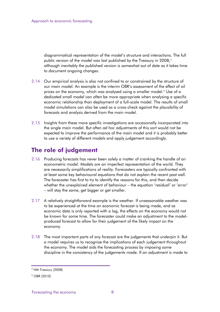diagrammatical representation of the model's structure and interactions. The full public version of the model was last published by the Treasury in 2008,<sup>4</sup> although inevitably the published version is somewhat out of date as it take s time to document ongoing changes .

- 2.14 Our empirical analysis is also not confined to or constrained by the structure of our main model. An example is the interim OBR's assessment of the effect of oil prices on the economy, which was analysed using a smaller model.<sup>[5](#page-11-1)</sup> Use of a dedicated small model can often be more appropriate when analysing a specific economic relationship than deployment of a full-scale model. The results of small model simulations can also be used as a cross-check against the plausibility of forecasts and analysis derived from the main model.
- 2.15 Insights from these more specific investigations are occasionally incorporated into the single main model. But often *ad hoc* adjustments of this sort would not be expected to improve the performance of the main model and it is probably better to use a variety of different models and apply judgement accordingly.

# <span id="page-11-0"></span>**The role of judgement**

- 2.16 Producing forecasts has never been solely a matter of cranking the handle of an econometric model. Models are an imperfect representation of the world. They are necessarily simplifications of reality. Forecasters are typically confronted with at least some key behavioural equations that do not explain the recent past well. The forecaster has first to try to identify the reasons for this, and then decide whether the unexplained element of behaviour – the equation 'residual' or 'error' – will stay the same, get bigger or get smaller.
- 2.17 A relatively straightforward example is the weather. If unseasonable weather was to be experienced at the time an economic forecast is being made, and as economic data is only reported with a lag, the effects on the economy would not be known for some time. The forecaster could make an adjustment to the modelproduced forecast to allow for their judgement of the likely impact on the economy.
- <span id="page-11-2"></span>2.18 The most important parts of any forecast are the judgements that underpin it. But a model requires us to recognise the implications of each judgement throughout the economy. The model aids the forecasting process by imposing some discipline in the consistency of the judgements made. If an adjustment is made to

<sup>4</sup> HM Treasury (2008)

<span id="page-11-1"></span><sup>5</sup> OBR (2010)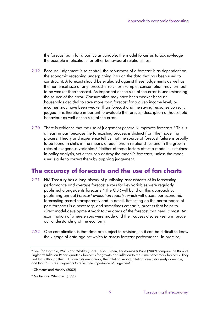the forecast path for a particular variable, the model forces us to acknowledge the possible implications for other behavioural relationships.

- 2.19 Because judgement is so central, the robustness of a forecast is as dependent on the economic reasoning underpinning it as on the data that has been used to construct it. A forecast should be evaluated against these judgements as well as the numerical size of any forecast error. For example, consumption may turn out to be weaker than forecast. As important as the size of the error is understanding the source of the error. Consumption may have been weaker because households decided to save more than forecast for a given income level, or incomes may have been weaker than forecast and the saving response correctly judged. It is therefore important to evaluate the forecast description of household behaviour as well as the size of the error.
- 2.20 There is evidence that the use of judgement generally improves forecasts.<sup>[6](#page-11-2)</sup> This is at least in part because the forecasting process is distinct from the modelling process. Theory and experience tell us that the source of forecast failure is usually to be found in shifts in the means of equilibrium relationships and in the growth rates of exogenous variables.[7](#page-12-1) Neither of these factors affect a model's usefulness in policy analysis, yet either can destroy the model's forecasts, unless the model user is able to correct them by applying judgement.

# <span id="page-12-0"></span>**The accuracy of forecasts and the use of fan charts**

- 2.21 HM Treasury has a long history of publishing assessments of its forecasting performance and average forecast errors for key variables were regularly published alongside its forecasts.<sup>[8](#page-12-2)</sup> The OBR will build on this approach by publishing annual *Forecast evaluation reports*, which will assess our economic forecasting record transparently and in detail. Reflecting on the performance of past forecasts is a necessary, and sometimes cathartic, process that helps to direct model development work to the areas of the forecast that need it most. An examination of where errors were made and their causes also serves to improve our understanding of the economy.
- 2.22 One complication is that data are subject to revision, so it can be difficult to know the vintage of data against which to assess forecast performance. In practice,

<sup>6</sup> See, for example, Wallis and Whitley (1991). Also, Groen, Kapetanios & Price (2009) compare the Bank of England's Inflation Report quarterly forecasts for growth and inflation to real-time benchmark forecasts. They find that although the GDP forecasts are inferior, the Inflation Report inflation forecasts clearly dominate, and that: *"This result appears to reflect the importance of judgement."*

<span id="page-12-1"></span> $7$  Clements and Hendry (2002)

<span id="page-12-2"></span><sup>8</sup> Melliss and Whittaker (1998)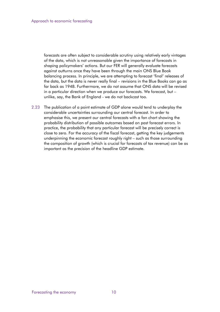forecasts are often subject to considerable scrutiny using relatively early vintages of the data, which is not unreasonable given the importance of forecasts in shaping policymakers' actions. But our FER will generally evaluate forecasts against outturns once they have been through the main ONS Blue Book balancing process. In principle, we are attempting to forecast 'final' releases of the data, but the data is never really final – revisions in the Blue Books can go as far back as 1948. Furthermore, we do not assume that ONS data will be revised in a particular direction when we produce our forecasts. We forecast, but – unlike, say, the Bank of England - we do not backcast too.

2.23 The publication of a point estimate of GDP alone would tend to underplay the considerable uncertainties surrounding our central forecast. In order to emphasise this, we present our central forecasts with a fan chart showing the probability distribution of possible outcomes based on past forecast errors. In practice, the probability that any particular forecast will be precisely correct is close to zero. For the accuracy of the fiscal forecast, getting the key judgements underpinning the economic forecast roughly right – such as those surrounding the composition of growth (which is crucial for forecasts of tax revenue) can be as important as the precision of the headline GDP estimate.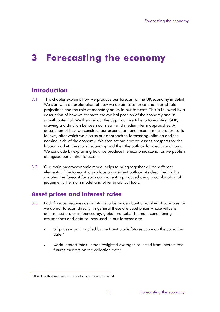# **3 Forecasting the economy**

# <span id="page-14-0"></span>**Introduction**

- 3.1 This chapter explains how we produce our forecast of the UK economy in detail. We start with an explanation of how we obtain asset price and interest rate projections and the role of monetary policy in our forecast. This is followed by a description of how we estimate the cyclical position of the economy and its growth potential. We then set out the approach we take to forecasting GDP, drawing a distinction between our near- and medium-term approaches. A description of how we construct our expenditure and income measure forecasts follows, after which we discuss our approach to forecasting inflation and the nominal side of the economy. We then set out how we assess prospects for the labour market, the global economy and then the outlook for credit conditions. We conclude by explaining how we produce the economic scenarios we publish alongside our central forecasts.
- 3.2 Our main macroeconomic model helps to bring together all the different elements of the forecast to produce a consistent outlook. As described in this chapter, the forecast for each component is produced using a combination of judgement, the main model and other analytical tools.

# <span id="page-14-1"></span>**Asset prices and interest rates**

- 3.3 Each forecast requires assumptions to be made about a number of variables that we do not forecast directly. In general these are asset prices whose value is determined on, or influenced by, global markets. The main conditioning assumptions and data sources used in our forecast are:
	- oil prices path implied by the Brent crude futures curve on the collection date;[1](#page-12-2)
	- world interest rates trade-weighted averages collected from interest rate futures markets on the collection date;

<span id="page-14-2"></span><sup>&</sup>lt;sup>1</sup> The date that we use as a basis for a particular forecast.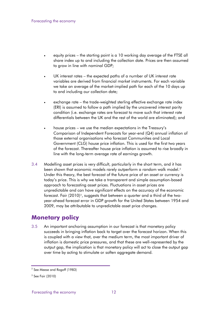- equity prices the starting point is a 10 working day average of the FTSE all share index up to and including the collection date. Prices are then assumed to grow in line with nominal GDP;
- UK interest rates the expected paths of a number of UK interest rate variables are derived from financial market instruments. For each variable we take an average of the market-implied path for each of the 10 days up to and including our collection date;
- exchange rate the trade-weighted sterling effective exchange rate index (ERI) is assumed to follow a path implied by the uncovered interest parity condition (i.e. exchange rates are forecast to move such that interest rate differentials between the UK and the rest of the world are eliminated); and
- house prices we use the median expectations in the Treasury's Comparison of Independent Forecasts for year-end (Q4) annual inflation of those external organisations who forecast Communities and Local Government (CLG) house price inflation. This is used for the first two years of the forecast. Thereafter house price inflation is assumed to rise broadly in line with the long-term average rate of earnings growth.
- 3.4 Modelling asset prices is very difficult, particularly in the short term, and it has been shown that economic models rarely outperform a random walk model.<sup>[2](#page-14-2)</sup> Under this theory, the best forecast of the future price of an asset or currency is today's price. This is why we take a transparent and simple assumption-based approach to forecasting asset prices. Fluctuations in asset prices are unpredictable and can have significant effects on the accuracy of the economic forecast. Fair  $(2010)^3$  $(2010)^3$ , suggests that between a quarter and a third of the twoyear-ahead forecast error in GDP growth for the United States between 1954 and 2009, may be attributable to unpredictable asset price changes.

## <span id="page-15-0"></span>**Monetary policy**

3.5 An important anchoring assumption in our forecast is that monetary policy succeeds in bringing inflation back to target over the forecast horizon. When this is coupled with a view that, over the medium term, the most important driver of inflation is domestic price pressures, and that these are well-represented by the output gap, the implication is that monetary policy will act to close the output gap over time by acting to stimulate or soften aggregate demand.

<span id="page-15-2"></span> $<sup>2</sup>$  See Meese and Rogoff (1983)</sup>

<span id="page-15-1"></span> $3$  See Fair (2010)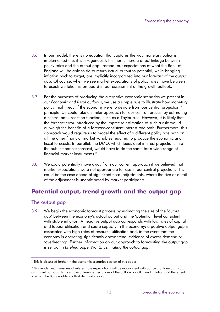- 3.6 In our model, there is no equation that captures the way monetary policy is implemented (i.e. it is 'exogenous'). Neither is there a direct linkage between policy rates and the output gap. Instead, our expectations of what the Bank of England will be able to do to return actual output to potential, while bringing inflation back to target, are implicitly incorporated into our forecast of the output gap. Of course, when we see market expectations of policy rates move between forecasts we take this on board in our assessment of the growth outlook.
- 3.7 For the purposes of producing the alternative economic scenarios we present in our *Economic and fiscal outlooks*, we use a simple rule to illustrate how monetary policy might react if the economy were to deviate from our central projection.<sup>[4](#page-15-2)</sup> In principle, we could take a similar approach for our central forecast by estimating a central bank reaction function, such as a Taylor rule. However, it is likely that the forecast error introduced by the imprecise estimation of such a rule would outweigh the benefits of a forecast-consistent interest rate path. Furthermore, this approach would require us to model the effect of a different policy rate path on all the other financial market variables required to produce the economic and fiscal forecasts. In parallel, the DMO, which feeds debt interest projections into the public finances forecast, would have to do the same for a wide range of financial market instruments. $^{\mathrm{5}}$  $^{\mathrm{5}}$  $^{\mathrm{5}}$
- 3.8 We could potentially move away from our current approach if we believed that market expectations were not appropriate for use in our central projection. This could be the case ahead of significant fiscal adjustments, where the size or detail of the adjustment is unanticipated by market participants.

# <span id="page-16-0"></span>**Potential output, trend growth and the output gap**

## The output gap

3.9 We begin the economic forecast process by estimating the size of the 'output gap' between the economy's actual output and the 'potential' level consistent with stable inflation. A negative output gap corresponds with low rates of capital and labour utilisation and spare capacity in the economy; a positive output gap is associated with high rates of resource utilisation and, in the event that the economy is operating significantly above trend, evidence of excess demand or 'overheating'. Further information on our approach to forecasting the output gap is set out in *Briefing paper No. 2: Estimating the output gap*.

<sup>4</sup> This is discussed further in the economic scenarios section of this paper.

<span id="page-16-2"></span><span id="page-16-1"></span> $^5$ Market-derived measures of interest rate expectations will be inconsistent with our central forecast insofar as market participants may have different expectations of the outlook for GDP and inflation and the extent to which the Bank is able to offset demand shocks.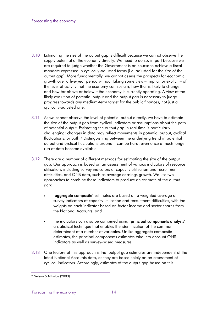- 3.10 Estimating the size of the output gap is difficult because we cannot observe the supply potential of the economy directly. We need to do so, in part because we are required to judge whether the Government is on course to achieve a fiscal mandate expressed in cyclically-adjusted terms (i.e. adjusted for the size of the output gap). More fundamentally, we cannot assess the prospects for economic growth over a five-year period without taking some view – implicit or explicit – of the level of activity that the economy can sustain, how that is likely to change, and how far above or below it the economy is currently operating. A view of the likely evolution of potential output and the output gap is necessary to judge progress towards any medium-term target for the public finances, not just a cyclically-adjusted one.
- 3.11 As we cannot observe the level of potential output directly, we have to estimate the size of the output gap from cyclical indicators or assumptions about the path of potential output. Estimating the output gap in real time is particularly challenging: changes in data may reflect movements in potential output, cyclical fluctuations, or both.<sup>[6](#page-16-2)</sup> Distinguishing between the underlying trend in potential output and cyclical fluctuations around it can be hard, even once a much longer run of data become available.
- 3.12 There are a number of different methods for estimating the size of the output gap. Our approach is based on an assessment of various indicators of resource utilisation, including survey indicators of capacity utilisation and recruitment difficulties, and ONS data, such as average earnings growth. We use two approaches to combine these indicators to produce an estimate of the output gap:
	- 'aggregate composite' estimates are based on a weighted average of survey indicators of capacity utilisation and recruitment difficulties, with the weights on each indicator based on factor income and sector shares from the National Accounts; and
	- the indicators can also be combined using 'principal components analysis', a statistical technique that enables the identification of the common determinant of a number of variables. Unlike aggregate composite estimates, the principal components estimates take into account ONS indicators as well as survey-based measures.
- 3.13 One feature of this approach is that output gap estimates are independent of the latest National Accounts data, as they are based solely on an assessment of cyclical indicators. Accordingly, estimates of the output gap based on this

<sup>6</sup> Nelson & Nikolov (2003)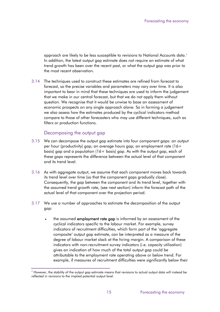approach are likely to be less susceptible to revisions to National Accounts data.7 In addition, the latest output gap estimate does not require an estimate of what trend growth has been over the recent past, or what the output gap was prior to the most recent observation.

3.14 The techniques used to construct these estimates are refined from forecast to forecast, so the precise variables and parameters may vary over time. It is also important to bear in mind that these techniques are used to inform the judgement that we make in our central forecast, but that we do not apply them without question. We recognise that it would be unwise to base an assessment of economic prospects on any single approach alone. So in forming a judgement we also assess how the estimates produced by the cyclical indicators method compare to those of other forecasters who may use different techniques, such as filters or production functions.

#### Decomposing the output gap

- 3.15 We can decompose the output gap estimate into four component gaps: an output per hour (productivity) gap; an average hours gap; an employment rate (16+ basis) gap and a population (16+ basis) gap. As with the output gap, each of these gaps represents the difference between the actual level of that component and its trend level.
- 3.16 As with aggregate output, we assume that each component moves back towards its trend level over time (so that the component gaps gradually close). Consequently, the gap between the component and its trend level, together with the assumed trend growth rate, (see next section) inform the forecast path of the actual level of that component over the projection period.
- 3.17 We use a number of approaches to estimate the decomposition of the output gap:
	- the assumed **employment rate gap** is informed by an assessment of the cyclical indicators specific to the labour market. For example, survey indicators of recruitment difficulties, which form part of the 'aggregate composite' output gap estimate, can be interpreted as a measure of the degree of labour market slack at the hiring margin. A comparison of these indicators with non-recruitment survey indicators (i.e. capacity utilisation) gives an indication of how much of the total output gap could be attributable to the employment rate operating above or below trend. For example, if measures of recruitment difficulties were significantly below their

<span id="page-18-0"></span> $^7$  However, the stability of the output gap estimate means that revisions to actual output data will instead be reflected in revisions to the implied potential output level.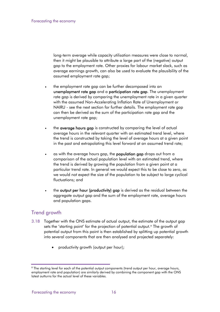long-term average while capacity utilisation measures were close to normal, then it might be plausible to attribute a large part of the (negative) output gap to the employment rate. Other proxies for labour market slack, such as average earnings growth, can also be used to evaluate the plausibility of the assumed employment rate gap;

- the employment rate gap can be further decomposed into an unemployment rate gap and a participation rate gap. The unemployment rate gap is derived by comparing the unemployment rate in a given quarter with the assumed Non-Accelerating Inflation Rate of Unemployment or NAIRU - see the next section for further details. The employment rate gap can then be derived as the sum of the participation rate gap and the unemployment rate gap;
- the average hours gap is constructed by comparing the level of actual average hours in the relevant quarter with an estimated trend level, where the trend is constructed by taking the level of average hours at a given point in the past and extrapolating this level forward at an assumed trend rate;
- as with the average hours gap, the **population gap** drops out from a comparison of the actual population level with an estimated trend, where the trend is derived by growing the population from a given point at a particular trend rate. In general we would expect this to be close to zero, as we would not expect the size of the population to be subject to large cyclical fluctuations; and
- the output per hour (productivity) gap is derived as the residual between the aggregate output gap and the sum of the employment rate, average hours and population gaps.

## Trend growth

- 3.18 Together with the ONS estimate of actual output, the estimate of the output gap sets the 'starting point' for the projection of potential output.<sup>[8](#page-18-0)</sup> The growth of potential output from this point is then established by splitting up potential growth into several components that are then analysed and projected separately:
	- productivity growth (output per hour);

<span id="page-19-0"></span><sup>&</sup>lt;sup>8</sup> The starting level for each of the potential output components (trend output per hour, average hours, employment rate and population) are similarly derived by combining the component gap with the ONS latest outturns for the actual level of these variables.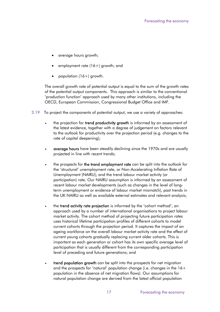- average hours growth;
- employment rate (16+) growth; and
- population (16+) growth.

The overall growth rate of potential output is equal to the sum of the growth rates of the potential output components. This approach is similar to the conventional 'production function' approach used by many other institutions, including the OECD, European Commission, Congressional Budget Office and IMF.

- 3.19 To project the components of potential output, we use a variety of approaches:
	- the projection for trend productivity growth is informed by an assessment of the latest evidence, together with a degree of judgement on factors relevant to the outlook for productivity over the projection period (e.g. changes to the rate of capital deepening);
	- average hours have been steadily declining since the 1970s and are usually projected in line with recent trends;
	- the prospects for the trend employment rate can be split into the outlook for the 'structural' unemployment rate, or Non-Accelerating Inflation Rate of Unemployment (NAIRU); and the trend labour market activity (or participation) rate. Our NAIRU assumption is informed by an assessment of recent labour market developments (such as changes in the level of longterm unemployment or evidence of labour market mismatch), past trends in the UK NAIRU as well as available external estimates and relevant analysis;
	- the trend activity rate projection is informed by the 'cohort method', an approach used by a number of international organisations to project labour market activity. The cohort method of projecting future participation rates uses historical lifetime participation profiles of different cohorts to model current cohorts through the projection period. It captures the impact of an ageing workforce on the overall labour market activity rate and the effect of current young cohorts gradually replacing current older cohorts. This is important as each generation or cohort has its own specific average level of participation that is usually different from the corresponding participation level of preceding and future generations; and
	- trend population growth can be split into the prospects for net migration and the prospects for 'natural' population change (i.e. changes in the 16+ population in the absence of net migration flows). Our assumptions for natural population change are derived from the latest official population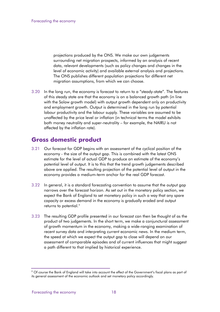projections produced by the ONS. We make our own judgements surrounding net migration prospects, informed by an analysis of recent data, relevant developments (such as policy changes and changes in the level of economic activity) and available external analysis and projections. The ONS publishes different population projections for different net migration assumptions, from which we can choose.

3.20 In the long run, the economy is forecast to return to a "steady-state". The features of this steady state are that the economy is on a balanced growth path (in line with the Solow growth model) with output growth dependent only on productivity and employment growth. Output is determined in the long run by potential labour productivity and the labour supply. These variables are assumed to be unaffected by the price level or inflation (in technical terms the model exhibits both money neutrality and super-neutrality – for example, the NAIRU is not affected by the inflation rate).

# <span id="page-21-0"></span>**Gross domestic product**

- 3.21 Our forecast for GDP begins with an assessment of the cyclical position of the economy - the size of the output gap. This is combined with the latest ONS estimate for the level of actual GDP to produce an estimate of the economy's potential level of output. It is to this that the trend growth judgements described above are applied. The resulting projection of the potential level of output in the economy provides a medium-term anchor for the real GDP forecast.
- 3.22 In general, it is a standard forecasting convention to assume that the output gap narrows over the forecast horizon. As set out in the monetary policy section, we expect the Bank of England to set monetary policy in such a way that any spare capacity or excess demand in the economy is gradually eroded and output returns to potential.<sup>[9](#page-19-0)</sup>
- 3.23 The resulting GDP profile presented in our forecast can then be thought of as the product of two judgements. In the short term, we make a conjunctural assessment of growth momentum in the economy, making a wide-ranging examination of recent survey data and interpreting current economic news. In the medium term, the speed at which we expect the output gap to close will depend on our assessment of comparable episodes and of current influences that might suggest a path different to that implied by historical experience.

<span id="page-21-1"></span><sup>9</sup> Of course the Bank of England will take into account the effect of the Government's fiscal plans as part of its general assessment of the economic outlook and set monetary policy accordingly.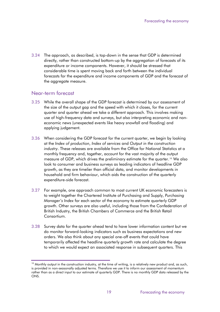3.24 The approach, as described, is top-down in the sense that GDP is determined directly, rather than constructed bottom-up by the aggregation of forecasts of its expenditure or income components. However, it should be stressed that considerable time is spent moving back and forth between the individual forecasts for the expenditure and income components of GDP and the forecast of the aggregate measure.

#### Near-term forecast

- 3.25 While the overall shape of the GDP forecast is determined by our assessment of the size of the output gap and the speed with which it closes, for the current quarter and quarter ahead we take a different approach. This involves making use of high-frequency data and surveys, but also interpreting economic and noneconomic news (unexpected events like heavy snowfall and flooding) and applying judgement.
- 3.26 When considering the GDP forecast for the current quarter, we begin by looking at the *Index of production*, *Index of services* and *Output in the construction industry*. These releases are available from the Office for National Statistics at a monthly frequency and, together, account for the vast majority of the output measure of GDP, which drives the preliminary estimate for the quarter.[10](#page-21-1) We also look to consumer and business surveys as leading indicators of headline GDP growth, as they are timelier than official data, and monitor developments in household and firm behaviour, which aids the construction of the quarterly expenditure-side forecast.
- 3.27 For example, one approach common to most current UK economic forecasters is to weight together the Chartered Institute of Purchasing and Supply, *Purchasing Manager's Index* for each sector of the economy to estimate quarterly GDP growth. Other surveys are also useful, including those from the Confederation of British Industry, the British Chambers of Commerce and the British Retail Consortium.
- 3.28 Survey data for the quarter ahead tend to have lower information content but we do monitor forward-looking indicators such as business expectations and new orders. We also think about any special one-off events that could have temporarily affected the headline quarterly growth rate and calculate the degree to which we would expect an associated response in subsequent quarters. This

<span id="page-22-0"></span><sup>&</sup>lt;sup>10</sup> Monthly output in the construction industry, at the time of writing, is a relatively new product and, as such, is provided in non-seasonally adjusted terms. Therefore we use it to inform our assessment of momentum rather than as a direct input to our estimate of quarterly GDP. There is no monthly GDP data released by the ONS.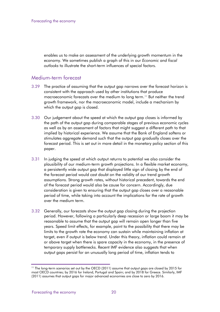enables us to make an assessment of the underlying growth momentum in the economy. We sometimes publish a graph of this in our *Economic and fiscal outlooks* to illustrate the short-term influences of special factors.

## Medium-term forecast

- 3.29 The practice of assuming that the output gap narrows over the forecast horizon is consistent with the approach used by other institutions that produce macroeconomic forecasts over the medium to long term.<sup>[11](#page-22-0)</sup> But neither the trend growth framework, nor the macroeconomic model, include a mechanism by which the output gap is closed.
- 3.30 Our judgement about the speed at which the output gap closes is informed by the path of the output gap during comparable stages of previous economic cycles as well as by an assessment of factors that might suggest a different path to that implied by historical experience. We assume that the Bank of England softens or stimulates aggregate demand such that the output gap gradually closes over the forecast period. This is set out in more detail in the monetary policy section of this paper.
- 3.31 In judging the speed at which output returns to potential we also consider the plausibility of our medium-term growth projections. In a flexible market economy, a persistently wide output gap that displayed little sign of closing by the end of the forecast period would cast doubt on the validity of our trend growth assumptions. Strong growth rates, without historical precedent, towards the end of the forecast period would also be cause for concern. Accordingly, due consideration is given to ensuring that the output gap closes over a reasonable period of time, while taking into account the implications for the rate of growth over the medium term.
- 3.32 Generally, our forecasts show the output gap closing during the projection period. However, following a particularly deep recession or large boom it may be reasonable to assume that the output gap will remain open longer than five years. Speed limit effects, for example, point to the possibility that there may be limits to the growth rate the economy can sustain while maintaining inflation at target, even if output is below trend. Under this theory, inflation could remain at or above target when there is spare capacity in the economy, in the presence of temporary supply bottlenecks. Recent IMF evidence also suggests that when output gaps persist for an unusually long period of time, inflation tends to

<sup>&</sup>lt;sup>11</sup> The long-term scenarios set out by the OECD (2011) assume that output gaps are closed by 2015 for most OECD countries; by 2016 for Ireland, Portugal and Spain; and by 2018 for Greece. Similarly, IMF (2011) assumes that output gaps for major advanced economies are close to zero by 2016.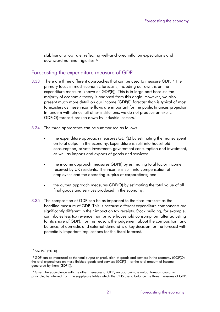stabilise at a low rate, reflecting well-anchored inflation expectations and downward nominal rigidities.<sup>12</sup>

#### Forecasting the expenditure measure of GDP

- 3.33 There are three different approaches that can be used to measure GDP.[13](#page-24-0) The primary focus in most economic forecasts, including our own, is on the expenditure measure (known as GDP(E)). This is in large part because the majority of economic theory is analysed from this angle. However, we also present much more detail on our income (GDP(I)) forecast than is typical of most forecasters as these income flows are important for the public finances projection. In tandem with almost all other institutions, we do not produce an explicit GDP(O) forecast broken down by industrial sectors.<sup>[14](#page-24-1)</sup>
- 3.34 The three approaches can be summarised as follows:
	- the expenditure approach measures GDP(E) by estimating the money spent on total output in the economy. Expenditure is split into household consumption, private investment, government consumption and investment, as well as imports and exports of goods and services;
	- the income approach measures GDP(I) by estimating total factor income received by UK residents. The income is split into compensation of employees and the operating surplus of corporations; and
	- the output approach measures GDP(O) by estimating the total value of all final goods and services produced in the economy.
- 3.35 The composition of GDP can be as important to the fiscal forecast as the headline measure of GDP. This is because different expenditure components are significantly different in their impact on tax receipts. Stock building, for example, contributes less tax revenue than private household consumption (after adjusting for its share of GDP). For this reason, the judgement about the composition, and balance, of domestic and external demand is a key decision for the forecast with potentially important implications for the fiscal forecast.

<sup>12</sup> See IMF (2010)

<span id="page-24-2"></span><span id="page-24-0"></span><sup>&</sup>lt;sup>13</sup> GDP can be measured as the total output or production of goods and services in the economy (GDP(O)), the total expenditure on these finished goods and services (GDP(E)), or the total amount of income generated by them (GDP(I)).

<span id="page-24-1"></span><sup>&</sup>lt;sup>14</sup> Given the equivalence with the other measures of GDP, an approximate output forecast could, in principle, be inferred from the supply-use tables which the ONS use to balance the three measures of GDP.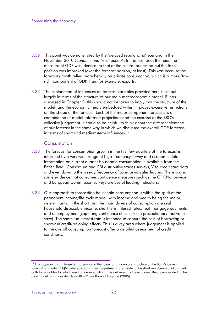- 3.36 This point was demonstrated by the 'delayed rebalancing' scenario in the November 2010 *Economic and fiscal outlook*. In this scenario, the headline measure of GDP was identical to that of the central projection but the fiscal position was improved (over the forecast horizon, at least). This was because the forecast growth relied more heavily on private consumption, which is a more 'taxrich' component of GDP than, for example, exports.
- 3.37 The explanation of influences on forecast variables provided here is set out largely in terms of the structure of our main macroeconomic model. But as discussed in Chapter 2, this should not be taken to imply that the structure of the model, and the economic theory embedded within it, places excessive restrictions on the shape of the forecast. Each of the major component forecasts is a combination of model-informed projections and the exercise of the BRC's collective judgement. It can also be helpful to think about the different elements of our forecast in the same way in which we discussed the overall GDP forecast, in terms of short and medium-term influences.[15](#page-24-2)

#### **Consumption**

- 3.38 The forecast for consumption growth in the first few quarters of the forecast is informed by a very wide range of high-frequency survey and economic data. Information on current quarter household consumption is available from the British Retail Consortium and CBI distributive trades surveys, Visa credit card data and even down to the weekly frequency of John Lewis sales figures. There is also some evidence that consumer confidence measures such as the GFK Nationwide and European Commission surveys are useful leading indicators.
- 3.39 Our approach to forecasting household consumption is within the spirit of the permanent income/life cycle model, with income and wealth being the major determinants. In the short run, the main drivers of consumption are real household disposable income, short-term interest rates, real mortgage payments and unemployment (capturing confidence effects or the precautionary motive to save). The short-run interest rate is intended to capture the cost of borrowing or short-run credit-rationing effects. This is a key area where judgement is applied to the overall consumption forecast after a detailed assessment of credit conditions.

<span id="page-25-0"></span><sup>&</sup>lt;sup>15</sup> This approach is, in loose terms, similar to the 'core' and 'non-core' structure of the Bank's current forecasting model BEQM, whereby data-driven adjustments are made to the short run dynamic adjustment path for variables for which medium-term equilibrium is delivered by the economic theory embedded in the core model. For more details on BEQM see Bank of England (2005).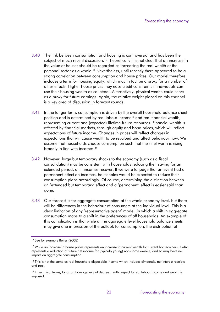- 3.40 The link between consumption and housing is controversial and has been the subject of much recent discussion.<sup>[16](#page-25-0)</sup> Theoretically it is not clear that an increase in the value of houses should be regarded as increasing the real wealth of the personal sector as a whole.<sup>[17](#page-26-0)</sup> Nevertheless, until recently there appeared to be a strong correlation between consumption and house prices. Our model therefore includes a term for housing equity, which may in fact be a proxy for a number of other effects. Higher house prices may ease credit constraints if individuals can use their housing wealth as collateral. Alternatively, physical wealth could serve as a proxy for future earnings. Again, the relative weight placed on this channel is a key area of discussion in forecast rounds.
- 3.41 In the longer term, consumption is driven by the overall household balance sheet position and is determined by real labour income<sup>[18](#page-26-1)</sup> and real financial wealth, representing current and (expected) lifetime future resources. Financial wealth is affected by financial markets, through equity and bond prices, which will reflect expectations of future income. Changes in prices will reflect changes in expectations that will cause wealth to be revalued and affect behaviour now. We assume that households choose consumption such that their net worth is rising broadly in line with incomes.<sup>[19](#page-26-2)</sup>
- 3.42 However, large but temporary shocks to the economy (such as a fiscal consolidation) may be consistent with households reducing their saving for an extended period, until incomes recover. If we were to judge that an event had a permanent effect on incomes, households would be expected to reduce their consumption plans accordingly. Of course, determining the distinction between an 'extended but temporary' effect and a 'permanent' effect is easier said than done.
- 3.43 Our forecast is for aggregate consumption at the whole economy level, but there will be differences in the behaviour of consumers at the individual level. This is a clear limitation of any 'representative agent' model, in which a shift in aggregate consumption maps to a shift in the preferences of *all* households. An example of this complication is that while at the aggregate level household balance sheets may give one impression of the outlook for consumption, the distribution of

<sup>&</sup>lt;sup>16</sup> See for example Buiter (2008)

<span id="page-26-0"></span><sup>&</sup>lt;sup>17</sup> While an increase in house prices represents an increase in current wealth for current homeowners, it also represents a reduction of future net income for (typically young) non-home owners, and so may have no impact on aggregate consumption.

<span id="page-26-1"></span><sup>&</sup>lt;sup>18</sup> This is not the same as real household disposable income which includes dividends, net interest receipts and rent.

<span id="page-26-3"></span><span id="page-26-2"></span><sup>&</sup>lt;sup>19</sup> In technical terms, long run homogeneity of degree 1 with respect to real labour income and wealth is imposed.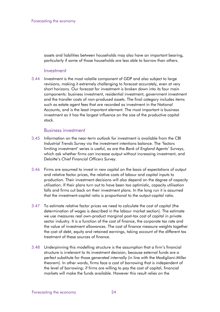assets and liabilities between households may also have an important bearing, particularly if some of those households are less able to borrow than others.

#### Investment

3.44 Investment is the most volatile component of GDP and also subject to large revisions, making it extremely challenging to forecast accurately, even at very short horizons. Our forecast for investment is broken down into its four main components: business investment, residential investment, government investment and the transfer costs of non-produced assets. The final category includes items such as estate agent fees that are recorded as investment in the National Accounts, and is the least important element. The most important is business investment as it has the largest influence on the size of the productive capital stock.

#### Business investment

- 3.45 Information on the near-term outlook for investment is available from the CBI *Industrial Trends Survey* via the investment intentions balance. The 'factors limiting investment' series is useful, as are the *Bank of England Agents' Surveys*, which ask whether firms can increase output without increasing investment, and Deloitte's *Chief Financial Officers Survey*.
- 3.46 Firms are assumed to invest in new capital on the basis of expectations of output and relative factor prices, the relative costs of labour and capital inputs to production. Their investment decisions will also depend on the degree of capacity utilisation. If their plans turn out to have been too optimistic, capacity utilisation falls and firms cut back on their investment plans. In the long run it is assumed that the investment-capital ratio is proportional to the output-capital ratio.
- 3.47 To estimate relative factor prices we need to calculate the cost of capital (the determination of wages is described in the labour market section). The estimate we use measures real own-product marginal post-tax cost of capital in private sector industry. It is a function of the cost of finance, the corporate tax rate and the value of investment allowances. The cost of finance measure weights together the cost of debt, equity and retained earnings, taking account of the different tax treatment of these sources of finance.
- 3.48 Underpinning this modelling structure is the assumption that a firm's financial structure is irrelevant to its investment decision, because external funds are a perfect substitute for those generated internally (in line with the Modigliani-Miller theorem). In other words, firms face a cost of borrowing that is independent of the level of borrowing: if firms are willing to pay the cost of capital, financial markets will make the funds available. However this result relies on the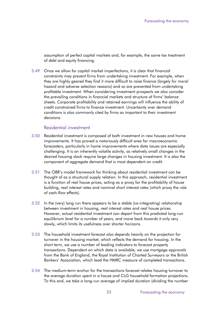assumption of perfect capital markets and, for example, the same tax treatment of debt and equity financing.

3.49 Once we allow for capital market imperfections, it is clear that financial constraints may prevent firms from undertaking investment. For example, when they are highly geared they find it more difficult to raise finance (largely for moral hazard and adverse selection reasons) and so are prevented from undertaking profitable investment. When considering investment prospects we also consider the prevailing conditions in financial markets and structure of firms' balance sheets. Corporate profitability and retained earnings will influence the ability of credit constrained firms to finance investment. Uncertainty over demand conditions is also commonly cited by firms as important to their investment decisions.

#### Residential investment

- 3.50 Residential investment is composed of both investment in new houses and home improvements. It has proved a notoriously difficult area for macroeconomic forecasters, particularly in home improvements where data issues are especially challenging. It is an inherently volatile activity, as relatively small changes in the desired housing stock require large changes in housing investment. It is also the component of aggregate demand that is most dependent on credit.
- 3.51 The OBR's model framework for thinking about residential investment can be thought of as a structural supply relation. In this approach, residential investment is a function of real house prices, acting as a proxy for the profitability of house building, real interest rates and nominal short interest rates (which proxy the role of cash-flow effects).
- 3.52 In the (very) long run there appears to be a stable (co-integrating) relationship between investment in housing, real interest rates and real house prices. However, actual residential investment can depart from this predicted long-run equilibrium level for a number of years, and move back towards it only very slowly, which limits its usefulness over shorter horizons.
- 3.53 The household investment forecast also depends heavily on the projection for turnover in the housing market, which reflects the demand for housing. In the short term, we use a number of leading indicators to forecast property transactions. Dependent on which data is available, we use mortgage approvals from the Bank of England, the Royal Institution of Charted Surveyors or the British Bankers' Association, which lead the HMRC measure of completed transactions.
- 3.54 The medium-term anchor for the transactions forecast relates housing turnover to the average duration spent in a house and CLG household formation projections. To this end, we take a long-run average of implied duration (dividing the number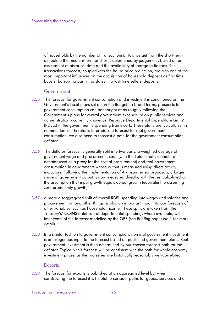of households by the number of transactions). How we get from the short-term outlook to the medium-term anchor is determined by judgement, based on an assessment of historical data and the availability of mortgage finance. The transactions forecast, coupled with the house price projection, are also one of the most important influences on the acquisition of household deposits as first time buyers' borrowing partly translates into last-time sellers' deposits.

#### **Government**

- 3.55 The forecast for government consumption and investment is conditioned on the Government's fiscal plans set out in the Budget. In broad terms, prospects for government consumption can be thought of as roughly following the Government's plans for central government expenditure on public services and administration - currently known as 'Resource Departmental Expenditure Limits' (RDELs) in the government's spending framework. These plans are typically set in nominal terms. Therefore, to produce a forecast for real government consumption, we also need to forecast a path for the government consumption deflator.
- 3.56 The deflator forecast is generally split into two parts: a weighted average of government wage and procurement costs (with the Total Final Expenditure deflator used as a proxy for the cost of procurement) and real government consumption in departments whose output is measured using direct activity indicators. Following the implementation of Atkinson review proposals, a larger share of government output is now measured directly, with the rest calculated on the assumption that input growth equals output growth (equivalent to assuming zero productivity growth).
- 3.57 A more disaggregated split of overall RDEL spending into wages and salaries and procurement, among other things, is also an important input into our forecasts of other variables, such as household income. These splits are taken from the Treasury's' COINS database of departmental spending, where available, with later years of the forecast modelled by the OBR (see *Briefing paper No.1* for more detail).
- 3.58 In a similar fashion to government consumption, nominal government investment is an exogenous input to the forecast based on published government plans. Real government investment is then determined by our chosen forecast path for the deflator. Typically this forecast will be consistent with the path for whole economy investment prices, as the two series are historically reasonably well-correlated.

#### **Exports**

3.59 The forecast for exports is published at an aggregated level but when constructing the forecast it is helpful to consider paths for goods, services and oil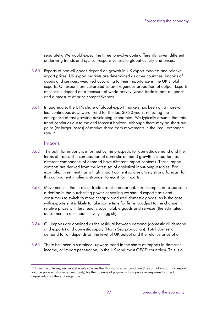separately. We would expect the three to evolve quite differently, given different underlying trends and cyclical responsiveness to global activity and prices.

- 3.60 Exports of non-oil goods depend on growth in UK export markets and relative export prices. UK export markets are determined as other countries' imports of goods and services, weighted according to their importance in the UK's total exports. Oil exports are calibrated as an exogenous proportion of output. Exports of services depend on a measure of world activity (world trade in non-oil goods) and a measure of price competitiveness.
- 3.61 In aggregate, the UK's share of global export markets has been on a more-or less continuous downward trend for the last 20-30 years, reflecting the emergence of fast-growing developing economies. We typically assume that this trend continues out to the end forecast horizon, although there may be short-run gains (or larger losses) of market share from movements in the (real) exchange rate $20$

#### Imports

- 3.62 The path for imports is informed by the prospects for domestic demand and the terms of trade. The composition of domestic demand growth is important as different components of demand have different import contents. These import contents are derived from the latest set of analytical input-output tables. For example, investment has a high import content so a relatively strong forecast for this component implies a stronger forecast for imports.
- 3.63 Movements in the terms of trade are also important. For example, in response to a decline in the purchasing power of sterling we should expect firms and consumers to switch to more cheaply produced domestic goods. As is the case with exporters, it is likely to take some time for firms to adjust to the change in relative prices with less readily substitutable goods and services (the estimated adjustment in our model is very sluggish).
- 3.64 Oil imports are obtained as the residual between demand (domestic oil demand and exports) and domestic supply (North Sea production). Total domestic demand for oil depends on the level of UK output and the relative price of oil.
- 3.65 There has been a sustained, upward trend in the share of imports in domestic income, or import penetration, in the UK (and most OECD countries). This is a

<sup>&</sup>lt;sup>20</sup> In technical terms, our model easily satisfies the Marshall-Lerner condition (the sum of import and export volume price elasticities exceed unity) for the balance of payments to improve in response to a real depreciation of the exchange rate.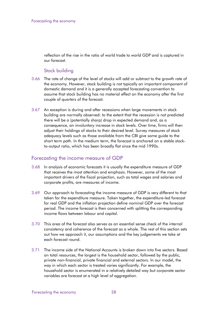reflection of the rise in the ratio of world trade to world GDP and is captured in our forecast.

#### Stock building

- 3.66 The rate of change of the level of stocks will add or subtract to the growth rate of the economy. However, stock building is not typically an important component of domestic demand and it is a generally accepted forecasting convention to assume that stock building has no material effect on the economy after the first couple of quarters of the forecast.
- 3.67 An exception is during and after recessions when large movements in stock building are normally observed: to the extent that the recession is not predicted there will be a (potentially sharp) drop in expected demand and, as a consequence, an *involuntary* increase in stock levels. Over time, firms will then adjust their holdings of stocks to their desired level. Survey measures of stock adequacy levels such as those available from the CBI give some guide to the short term path. In the medium term, the forecast is anchored on a stable stockto-output ratio, which has been broadly flat since the mid 1990s.

## Forecasting the income measure of GDP

- 3.68 In analysis of economic forecasts it is usually the expenditure measure of GDP that receives the most attention and emphasis. However, some of the most important drivers of the fiscal projection, such as total wages and salaries and corporate profits, are measures of income.
- 3.69 Our approach to forecasting the income measure of GDP is very different to that taken for the expenditure measure. Taken together, the expenditure-led forecast for real GDP and the inflation projection define nominal GDP over the forecast period. The income forecast is then concerned with splitting the corresponding income flows between labour and capital.
- 3.70 This area of the forecast also serves as an essential sense check of the internal consistency and coherence of the forecast as a whole. The rest of this section sets out how we approach it, our assumptions and the key judgements we take at each forecast round.
- 3.71 The income side of the National Accounts is broken down into five sectors. Based on total resources, the largest is the household sector, followed by the public, private non-financial, private financial and external sectors. In our model, the way in which each sector is treated varies significantly. For example, the household sector is enumerated in a relatively detailed way but corporate sector variables are forecast at a high level of aggregation.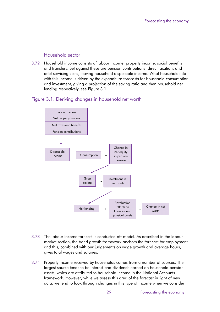#### Household sector

3.72 Household income consists of labour income, property income, social benefits and transfers. Set against these are pension contributions, direct taxation, and debt servicing costs, leaving household disposable income. What households do with this income is driven by the expenditure forecasts for household consumption and investment, giving a projection of the saving ratio and then household net lending respectively, see Figure 3.1.

#### Figure 3.1: Deriving changes in household net worth



- 3.73 The labour income forecast is conducted off-model. As described in the labour market section, the trend growth framework anchors the forecast for employment and this, combined with our judgements on wage growth and average hours, gives total wages and salaries.
- 3.74 Property income received by households comes from a number of sources. The largest source tends to be interest and dividends earned on household pension assets, which are attributed to household income in the National Accounts framework. However, while we assess this area of the forecast in light of new data, we tend to look through changes in this type of income when we consider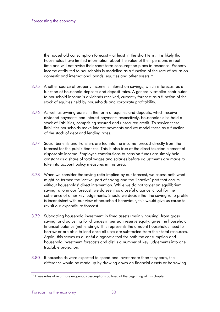the household consumption forecast – at least in the short term. It is likely that households have limited information about the value of their pensions in real time and will not revise their short-term consumption plans in response. Property income attributed to households is modelled as a function of the rate of return on domestic and international bonds, equities and other assets.<sup>21</sup>

- 3.75 Another source of property income is interest on savings, which is forecast as a function of household deposits and deposit rates. A generally smaller contributor to household income is dividends received, currently forecast as a function of the stock of equities held by households and corporate profitability.
- 3.76 As well as owning assets in the form of equities and deposits, which receive dividend payments and interest payments respectively, households also hold a stock of liabilities, comprising secured and unsecured credit. To service these liabilities households make interest payments and we model these as a function of the stock of debt and lending rates.
- 3.77 Social benefits and transfers are fed into the income forecast directly from the forecast for the public finances. This is also true of the direct taxation element of disposable income. Employee contributions to pension funds are simply held constant as a share of total wages and salaries before adjustments are made to take into account policy measures in this area.
- 3.78 When we consider the saving ratio implied by our forecast, we assess both what might be termed the 'active' part of saving and the 'inactive' part that occurs without households' direct intervention. While we do not target an equilibrium saving ratio in our forecast, we do see it as a useful diagnostic tool for the coherence of other key judgements. Should we decide that the saving ratio profile is inconsistent with our view of household behaviour, this would give us cause to revisit our expenditure forecast.
- 3.79 Subtracting household investment in fixed assets (mainly housing) from gross saving, and adjusting for changes in pension reserve equity, gives the household financial balance (net lending). This represents the amount households need to borrow or are able to lend once all uses are subtracted from their total resources. Again, this serves as a useful diagnostic tool for both the consumption and household investment forecasts and distils a number of key judgements into one tractable projection.
- <span id="page-33-0"></span>3.80 If households were expected to spend and invest more than they earn, the difference would be made up by drawing down on financial assets or borrowing.

 $21$  These rates of return are exogenous assumptions outlined at the beginning of this chapter.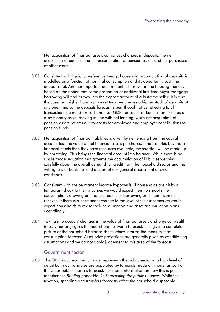Net acquisition of financial assets comprises changes in deposits, the net acquisition of equities, the net accumulation of pension assets and net purchases of other assets.

- 3.81 Consistent with liquidity preference theory, household accumulation of deposits is modelled as a function of nominal consumption and its opportunity cost (the deposit rate). Another important determinant is turnover in the housing market, based on the notion that some proportion of additional first-time buyer mortgage borrowing will find its way into the deposit account of a last-time seller. It is also the case that higher housing market turnover creates a higher stock of deposits at any one time, so the deposits forecast is best thought of as reflecting total transactions demand for cash, not just GDP transactions. Equities are seen as a discretionary asset, moving in line with net lending, while net acquisition of pension assets reflects our forecasts for employee and employer contributions to pension funds.
- 3.82 Net acquisition of financial liabilities is given by net lending from the capital account less the value of net financial assets purchases. If households buy more financial assets than they have resources available, the shortfall will be made up by borrowing. This brings the financial account into balance. While there is no single model equation that governs the accumulation of liabilities we think carefully about the overall demand for credit from the household sector and the willingness of banks to lend as part of our general assessment of credit conditions.
- 3.83 Consistent with the permanent income hypothesis, if households are hit by a temporary shock to their incomes we would expect them to smooth their consumption, drawing on financial assets or borrowing until their incomes recover. If there is a permanent change to the level of their incomes we would expect households to revise their consumption and asset accumulation plans accordingly.
- 3.84 Taking into account changes in the value of financial assets and physical wealth (mostly housing) gives the household net worth forecast. This gives a complete picture of the household balance sheet, which informs the medium-term consumption forecast. Asset price projections are generally given by conditioning assumptions and we do not apply judgement to this area of the forecast.

#### Government sector

3.85 The OBR macroeconomic model represents the public sector in a high level of detail but most variables are populated by forecasts made off-model as part of the wider public finances forecast. For more information on how this is put together see *Briefing paper No. 1: Forecasting the public finances.* While the taxation, spending and transfers forecasts affect the household disposable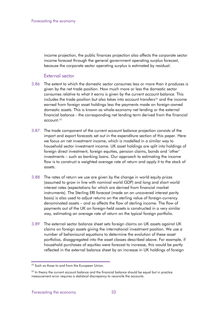income projection, the public finances projection also affects the corporate sector income forecast through the general government operating surplus forecast, because the corporate sector operating surplus is estimated by residual.

#### External sector

- 3.86 The extent to which the domestic sector consumes less or more than it produces is given by the net trade position. How much more or less the domestic sector consumes relative to what it earns is given by the current account balance. This includes the trade position but also takes into account transfers<sup>[22](#page-33-0)</sup> and the income earned from foreign asset holdings less the payments made on foreign-owned domestic assets. This is known as whole-economy net lending or the external financial balance - the corresponding net lending term derived from the financial account.[23](#page-35-0)
- 3.87 The trade component of the current account balance projection consists of the import and export forecasts set out in the expenditure section of this paper. Here we focus on net investment income, which is modelled in a similar way to household sector investment income. UK asset holdings are split into holdings of foreign direct investment, foreign equities, pension claims, bonds and 'other' investments – such as banking loans. Our approach to estimating the income flow is to construct a weighted average rate of return and apply it to the stock of assets.
- 3.88 The rates of return we use are given by the change in world equity prices (assumed to grow in line with nominal world GDP) and long and short world interest rates (expectations for which are derived from financial market instruments). The Sterling ERI forecast (made on an uncovered interest parity basis) is also used to adjust returns on the sterling value of foreign-currency denominated assets – and so affects the flow of sterling income. The flow of payments out of the UK on foreign-held assets is constructed in a very similar way, estimating an average rate of return on the typical foreign portfolio.
- 3.89 The external sector balance sheet sets foreign claims on UK assets against UK claims on foreign assets giving the international investment position. We use a number of behavioural equations to determine the evolution of these asset portfolios, disaggregated into the asset classes described above. For example, if household purchases of equities were forecast to increase, this would be partly reflected in the external balance sheet by an increase in UK holdings of foreign

<span id="page-35-1"></span><sup>&</sup>lt;sup>22</sup> Such as those to and from the European Union.

<span id="page-35-0"></span> $23$  In theory the current account balance and the financial balance should be equal but in practice measurement error requires a statistical discrepancy to reconcile the accounts.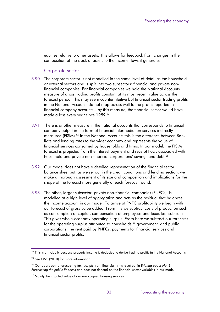equities relative to other assets. This allows for feedback from changes in the composition of the stock of assets to the income flows it generates.

#### Corporate sector

- 3.90 The corporate sector is not modelled in the same level of detail as the household or external sectors and is split into two subsectors: financial and private nonfinancial companies. For financial companies we hold the National Accounts measure of gross trading profits constant at its most recent value across the forecast period. This may seem counterintuitive but financial sector trading profits in the National Accounts do not map across well to the profits reported in financial company accounts – by this measure, the financial sector would have made a loss every year since 1959.<sup>[24](#page-35-1)</sup>
- 3.91 There is another measure in the national accounts that corresponds to financial company output in the form of financial intermediation services indirectly measured (FISIM).[25](#page-36-0) In the National Accounts this is the difference between Bank Rate and lending rates to the wider economy and represents the value of financial services consumed by households and firms. In our model, the FISIM forecast is projected from the interest payment and receipt flows associated with household and private non-financial corporations' savinas and debt.<sup>[26](#page-36-1)</sup>
- 3.92 Our model does not have a detailed representation of the financial sector balance sheet but, as we set out in the credit conditions and lending section, we make a thorough assessment of its size and composition and implications for the shape of the forecast more generally at each forecast round.
- 3.93 The other, larger subsector, private non-financial companies (PNFCs), is modelled at a high level of aggregation and acts as the residual that balances the income account in our model. To arrive at PNFC profitability we begin with our forecast of gross value added. From this we subtract costs of production such as consumption of capital, compensation of employees and taxes less subsidies. This gives whole-economy operating surplus. From here we subtract our forecasts for the operating surplus attributed to households, $27$  government, and public corporations, the rent paid by PNFCs, payments for financial services and financial sector profits.

<sup>&</sup>lt;sup>24</sup> This is principally because property income is deducted to derive trading profits in the National Accounts.

<span id="page-36-0"></span><sup>&</sup>lt;sup>25</sup> See ONS (2010) for more information.

<span id="page-36-1"></span><sup>26</sup> Our approach to forecasting tax receipts from financial firms is set out in *Briefing paper No. 1: Forecasting the public finances* and does not depend on the financial sector variables in our model.

<span id="page-36-3"></span><span id="page-36-2"></span> $27$  Mainly the imputed value of owner-occupied housing services.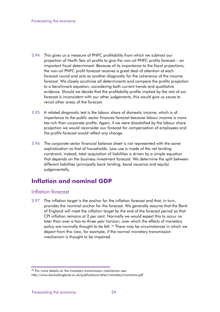- 3.94 This gives us a measure of PNFC profitability from which we subtract our projection of North Sea oil profits to give the non-oil PNFC profits forecast – an important fiscal determinant. Because of its importance to the fiscal projections, the non-oil PNFC profit forecast receives a great deal of attention at each forecast round and acts as another diagnostic for the coherence of the income forecast. We closely scrutinise all determinants and compare the profits projection to a benchmark equation, considering both current trends and qualitative evidence. Should we decide that the profitability profile implied by the rest of our forecast is inconsistent with our other judgements, this would give us cause to revisit other areas of the forecast.
- 3.95 A related diagnostic test is the labour share of domestic income, which is of importance to the public sector finances forecast because labour income is more tax-rich than corporate profits. Again, if we were dissatisfied by the labour share projection we would reconsider our forecast for compensation of employees and the profits forecast would reflect any change.
- 3.96 The corporate sector financial balance sheet is not represented with the same sophistication as that of households. Less use is made of the net lending constraint; instead, total acquisition of liabilities is driven by a simple equation that depends on the business investment forecast. We determine the split between different liabilities (principally bank lending, bond issuance and equity) judgementally.

# <span id="page-37-0"></span>**Inflation and nominal GDP**

## Inflation forecast

3.97 The inflation target is the anchor for the inflation forecast and that, in turn, provides the nominal anchor for the forecast. We generally assume that the Bank of England will meet the inflation target by the end of the forecast period so that CPI inflation remains at 2 per cent. Normally we would expect this to occur no later than over a two-to-three year horizon, over which the effects of monetary policy are normally thought to be felt. [28](#page-36-3) There may be circumstances in which we depart from this view, for example, if the normal monetary transmission mechanism is thought to be impaired.

<span id="page-37-1"></span> $28$  For more details on the monetary transmission mechanism see:

http://www.bankofengland.co.uk/publications/other/monetary/montrans.pdf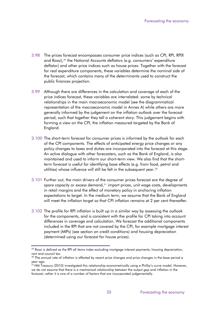- 3.98 The prices forecast encompasses consumer price indices (such as CPI, RPI, RPIX and Rossi),<sup>[29](#page-37-1)</sup> the National Accounts deflators (e.g. consumers' expenditure deflator) and other price indices such as house prices. Together with the forecast for real expenditure components, these variables determine the nominal side of the forecast, which contains many of the determinants used to construct the public finances projection.
- 3.99 Although there are differences in the calculation and coverage of each of the price indices forecast, these variables are interrelated: some by technical relationships in the main macroeconomic model (see the diagrammatical representation of the macroeconomic model in Annex A) while others are more generally informed by the judgement on the inflation outlook over the forecast period, such that together they tell a coherent story. This judgement begins with forming a view on the CPI, the inflation measured targeted by the Bank of England.
- 3.100 The short-term forecast for consumer prices is informed by the outlook for each of the CPI components. The effects of anticipated energy price changes or any policy changes to taxes and duties are incorporated into the forecast at this stage. An active dialogue with other forecasters, such as the Bank of England, is also maintained and used to inform our short-term view. We also find that the shortterm forecast is useful for identifying base effects (e.g. from food, petrol and utilities) whose influence will still be felt in the subsequent year.<sup>[30](#page-38-0)</sup>
- 3.101 Further out, the main drivers of the consumer prices forecast are the degree of spare capacity or excess demand,<sup>[31](#page-38-1)</sup> import prices, unit wage costs, developments in retail margins and the effect of monetary policy in anchoring inflation expectations to target. In the medium term, we assume that the Bank of England will meet the inflation target so that CPI inflation remains at 2 per cent thereafter.
- 3.102 The profile for RPI inflation is built up in a similar way by assessing the outlook for the components, and is consistent with the profile for CPI taking into account differences in coverage and calculation. We forecast the additional components included in the RPI that are not covered by the CPI, for example mortgage interest payment (MIPs) (see section on credit conditions) and housing depreciation (determined using our forecast for house prices).

 $^{29}$  Rossi is defined as the RPI all items index excluding mortgage interest payments, housing depreciation, rent and council tax.<br><sup>30</sup> The annual rate of inflation is affected by recent price changes and price changes in the base period a

<span id="page-38-0"></span>year ago.

<span id="page-38-2"></span><span id="page-38-1"></span> $^{31}$ HM Treasury (2010) investigated this relationship econometrically using a Phillip's curve model. However, we do not assume that there is a mechanical relationship between the output gap and inflation in the forecast; rather it is one of a number of factors that are incorporated judgementally.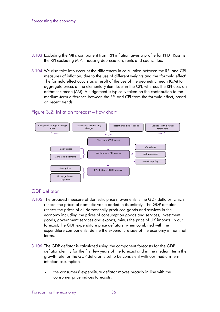- 3.103 Excluding the MIPs component from RPI inflation gives a profile for RPIX. Rossi is the RPI excluding MIPs, housing depreciation, rents and council tax.
- 3.104 We also take into account the differences in calculation between the RPI and CPI measures of inflation, due to the use of different weights and the 'formula effect'. The formula effect occurs as a result of the use of the geometric mean (GM) to aggregate prices at the elementary item level in the CPI, whereas the RPI uses an arithmetic mean (AM). A judgement is typically taken on the contribution to the medium-term difference between the RPI and CPI from the formula effect, based on recent trends.

#### Figure 3.2: Inflation forecast – flow chart



#### GDP deflator

- 3.105 The broadest measure of domestic price movements is the GDP deflator, which reflects the prices of domestic value added in its entirety. The GDP deflator reflects the prices of all domestically produced goods and services in the economy including the prices of consumption goods and services, investment goods, government services and exports, minus the price of UK imports. In our forecast, the GDP expenditure price deflators, when combined with the expenditure components, define the expenditure side of the economy in nominal terms.
- 3.106 The GDP deflator is calculated using the component forecasts for the GDP deflator identity for the first few years of the forecast and in the medium term the growth rate for the GDP deflator is set to be consistent with our medium-term inflation assumptions:
	- the consumers' expenditure deflator moves broadly in line with the consumer price indices forecasts;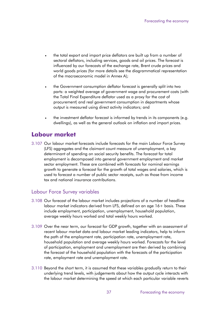- the total export and import price deflators are built up from a number of sectoral deflators, including services, goods and oil prices. The forecast is influenced by our forecasts of the exchange rate, Brent crude prices and world goods prices (for more details see the diagrammatical representation of the macroeconomic model in Annex A);
- the Government consumption deflator forecast is generally split into two parts: a weighted average of government wage and procurement costs (with the Total Final Expenditure deflator used as a proxy for the cost of procurement) and real government consumption in departments whose output is measured using direct activity indicators; and
- the investment deflator forecast is informed by trends in its components (e.g. dwellings), as well as the general outlook on inflation and import prices.

# <span id="page-40-0"></span>**Labour market**

3.107 Our labour market forecasts include forecasts for the main Labour Force Survey (LFS) aggregates and the claimant count measure of unemployment, a key determinant of spending on social security benefits. The forecast for total employment is decomposed into general government employment and market sector employment. These are combined with forecasts for nominal earnings growth to generate a forecast for the growth of total wages and salaries, which is used to forecast a number of public sector receipts, such as those from income tax and national insurance contributions.

## Labour Force Survey variables

- 3.108 Our forecast of the labour market includes projections of a number of headline labour market indicators derived from LFS, defined on an age 16+ basis. These include employment, participation, unemployment, household population, average weekly hours worked and total weekly hours worked.
- 3.109 Over the near term, our forecast for GDP growth, together with an assessment of recent labour market data and labour market leading indicators, help to inform the path of the employment rate, participation rate, unemployment rate, household population and average weekly hours worked. Forecasts for the level of participation, employment and unemployment are then derived by combining the forecast of the household population with the forecasts of the participation rate, employment rate and unemployment rate.
- 3.110 Beyond the short term, it is assumed that these variables gradually return to their underlying trend levels, with judgements about how the output cycle interacts with the labour market determining the speed at which each particular variable reverts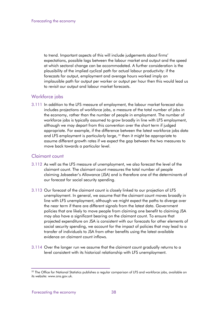to trend. Important aspects of this will include judgements about firms' expectations, possible lags between the labour market and output and the speed at which sectoral change can be accommodated. A further consideration is the plausibility of the implied cyclical path for actual labour productivity: if the forecasts for output, employment and average hours worked imply an implausible path for output per worker or output per hour then this would lead us to revisit our output and labour market forecasts.

#### Workforce jobs

3.111 In addition to the LFS measure of employment, the labour market forecast also includes projections of workforce jobs, a measure of the total number of jobs in the economy, rather than the number of people in employment. The number of workforce jobs is typically assumed to grow broadly in line with LFS employment, although we may depart from this convention over the short term if judged appropriate. For example, if the difference between the latest workforce jobs data and LFS employment is particularly large, <sup>[32](#page-38-2)</sup> then it might be appropriate to assume different growth rates if we expect the gap between the two measures to move back towards a particular level.

#### Claimant count

- 3.112 As well as the LFS measure of unemployment, we also forecast the level of the claimant count. The claimant count measures the total number of people claiming Jobseeker's Allowance (JSA) and is therefore one of the determinants of our forecast for social security spending.
- 3.113 Our forecast of the claimant count is closely linked to our projection of LFS unemployment. In general, we assume that the claimant count moves broadly in line with LFS unemployment, although we might expect the paths to diverge over the near term if there are different signals from the latest data. Government policies that are likely to move people from claiming one benefit to claiming JSA may also have a significant bearing on the claimant count. To ensure that projected expenditure on JSA is consistent with our forecasts for other elements of social security spending, we account for the impact of policies that may lead to a transfer of individuals to JSA from other benefits using the latest available evidence on claimant count inflows.
- <span id="page-41-0"></span>3.114 Over the longer run we assume that the claimant count gradually returns to a level consistent with its historical relationship with LFS unemployment.

<sup>&</sup>lt;sup>32</sup> The Office for National Statistics publishes a regular comparison of LFS and workforce jobs, available on its website: www.ons.gov.uk.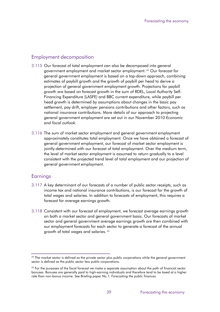### Employment decomposition

- 3.115 Our forecast of total employment can also be decomposed into general government employment and market sector employment.<sup>[33](#page-41-0)</sup> Our forecast for general government employment is based on a top-down approach, combining estimates of paybill growth and the growth of paybill per head to derive a projection of general government employment growth. Projections for paybill growth are based on forecast growth in the sum of RDEL, Local Authority Self-Financing Expenditure (LASFE) and BBC current expenditure, while paybill per head growth is determined by assumptions about changes in the basic pay settlement, pay drift, employer pensions contributions and other factors, such as national insurance contributions. More details of our approach to projecting general government employment are set out in our November 2010 *Economic and fiscal outlook*.
- 3.116 The sum of market sector employment and general government employment approximately constitutes total employment. Once we have obtained a forecast of general government employment, our forecast of market sector employment is jointly-determined with our forecast of total employment. Over the medium term, the level of market sector employment is assumed to return gradually to a level consistent with the projected trend level of total employment and our projection of general government employment.

#### **Earnings**

- 3.117 A key determinant of our forecasts of a number of public sector receipts, such as income tax and national insurance contributions, is our forecast for the growth of total wages and salaries. In addition to forecasts of employment, this requires a forecast for average earnings growth.
- 3.118 Consistent with our forecast of employment, we forecast average earnings growth on both a market sector and general government basis. Our forecasts of market sector and general government average earnings growth are then combined with our employment forecasts for each sector to generate a forecast of the annual growth of total wages and salaries. [34](#page-42-0)

<span id="page-42-1"></span><sup>&</sup>lt;sup>33</sup> The market sector is defined as the private sector plus public corporations while the general government sector is defined as the public sector less public corporations.

<span id="page-42-0"></span><sup>&</sup>lt;sup>34</sup> For the purposes of the fiscal forecast we make a separate assumption about the path of financial sector bonuses. Bonuses are generally paid to high-earning individuals and therefore tend to be taxed at a higher rate than non-bonus income. See *Briefing paper No.1: Forecasting the public finances.*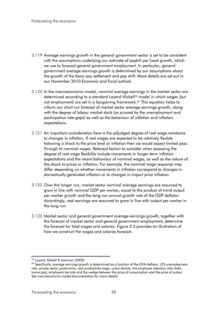- 3.119 Average earnings growth in the general government sector is set to be consistent with the assumptions underlying our estimate of paybill per head growth, which we use to forecast general government employment. In particular, general government average earnings growth is determined by our assumptions about the growth of the basic pay settlement and pay drift. More details are set out in our November 2010 *Economic and fiscal outlook*.
- 3.120 In the macroeconomic model, nominal average earnings in the market sector are determined according to a standard Layard-Nickell[35](#page-42-1) model in which wages (but not employment) are set in a bargaining framework.<sup>[36](#page-43-0)</sup> This equation helps to inform our short run forecast of market sector average earnings growth, along with the degree of labour market slack (as proxied by the unemployment and participation rate gaps) as well as the behaviour of inflation and inflation expectations.
- 3.121 An important consideration here is the adjudged degree of real wage resistance to changes in inflation. If real wages are expected to be relatively flexible following a shock to the price level or inflation then we would expect limited pass through to nominal wages. Relevant factors to consider when assessing the degree of real wage flexibility include movements in longer-term inflation expectations and the recent behaviour of nominal wages, as well as the nature of the shock to prices or inflation. For example, the nominal wage response may differ depending on whether movements in inflation correspond to changes in domestically generated inflation or to changes in import price inflation.
- 3.122 Over the longer run, market sector nominal average earnings are assumed to grow in line with nominal GDP per worker, equal to the product of trend output per worker growth and the long-run annual growth rate of the GDP deflator. Accordingly, real earnings are assumed to grow in line with output per worker in the long run.
- 3.123 Market sector and general government average earnings growth, together with the forecast of market sector and general government employment, determine the forecast for total wages and salaries. Figure 3.3 provides an illustration of how we construct the wages and salaries forecast.

<sup>35</sup> Layard, Nickell & Jackman (2005)

<span id="page-43-1"></span><span id="page-43-0"></span><sup>&</sup>lt;sup>36</sup> Specifically, average earnings growth is determined as a function of the GVA deflator, LFS unemployment rate, private sector productivity, real productivity wage, union density, the employee retention ratio (take home pay), employers tax rate and the wedge between the price of consumption and the price of output. See macroeconomic model documentation for more details.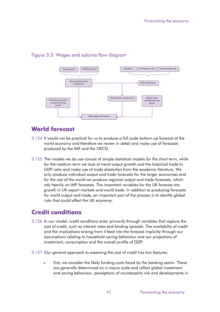#### Figure 3.3: Wages and salaries flow diagram



# <span id="page-44-0"></span>**World forecast**

- 3.124 It would not be practical for us to produce a full scale bottom-up forecast of the world economy and therefore we review in detail and make use of forecasts produced by the IMF and the OECD.
- 3.125 The models we do use consist of simple statistical models for the short term, while for the medium term we look at trend output growth and the historical trade to GDP ratio and make use of trade elasticities from the academic literature. We only produce individual output and trade forecasts for the larger economies and for the rest of the world we produce regional output and trade forecasts, which rely heavily on IMF forecasts. The important variables for the UK forecast are growth in UK export markets and world trade. In addition to producing forecasts for world output and trade, an important part of the process is to identify global risks that could affect the UK economy.

# <span id="page-44-1"></span>**Credit conditions**

- 3.126 In our model, credit conditions enter primarily through variables that capture the cost of credit, such as interest rates and lending spreads. The availability of credit and the implications arising from it feed into the forecast implicitly through our assumptions relating to household saving behaviour and our projections of investment, consumption and the overall profile of GDP.
- 3.127 Our general approach to assessing the cost of credit has two features:
	- first, we consider the likely funding costs faced by the banking sector. These are generally determined on a macro scale and reflect global investment and saving behaviour, perceptions of counterparty risk and developments in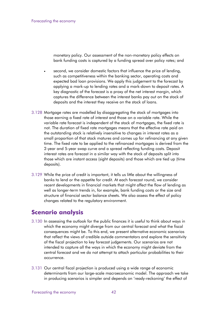monetary policy. Our assessment of the non-monetary policy effects on bank funding costs is captured by a funding spread over policy rates; and

- second, we consider domestic factors that influence the price of lending, such as competitiveness within the banking sector, operating costs and expected bad loan provisions. We apply this judgement to the forecast by applying a mark-up to lending rates and a mark-down to deposit rates. A key diagnostic of the forecast is a proxy of the net interest margin, which captures the difference between the interest banks pay out on the stock of deposits and the interest they receive on the stock of loans.
- 3.128 Mortgage rates are modelled by disaggregating the stock of mortgages into those earning a fixed rate of interest and those on a variable rate. While the variable rate forecast is independent of the stock of mortgages, the fixed rate is not. The duration of fixed rate mortgages means that the effective rate paid on the outstanding stock is relatively insensitive to changes in interest rates as a small proportion of that stock matures and comes up for refinancing at any given time. The fixed rate to be applied to the refinanced mortgages is derived from the 2-year and 5-year swap curve and a spread reflecting funding costs. Deposit interest rates are forecast in a similar way with the stock of deposits split into those which are instant access (sight deposits) and those which are tied up (time deposits).
- 3.129 While the price of credit is important, it tells us little about the willingness of banks to lend or the appetite for credit. At each forecast round, we consider recent developments in financial markets that might affect the flow of lending as well as longer-term trends in, for example, bank funding costs or the size and structure of financial sector balance sheets. We also assess the effect of policy changes related to the regulatory environment.

# <span id="page-45-0"></span>**Scenario analysis**

- 3.130 In assessing the outlook for the public finances it is useful to think about ways in which the economy might diverge from our central forecast and what the fiscal consequences might be. To this end, we present alternative economic scenarios that reflect the views of credible outside commentators and explore the sensitivity of the fiscal projection to key forecast judgements. Our scenarios are not intended to capture all the ways in which the economy might deviate from the central forecast and we do not attempt to attach particular probabilities to their occurrence.
- 3.131 Our central fiscal projection is produced using a wide range of economic determinants from our large-scale macroeconomic model. The approach we take in producing scenarios is simpler and depends on 'ready-reckoning' the effect of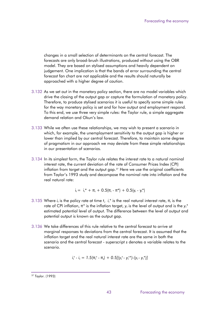changes in a small selection of determinants on the central forecast. The forecasts are only broad-brush illustrations, produced without using the OBR model. They are based on stylised assumptions and heavily dependent on judgement. One implication is that the bands of error surrounding the central forecast fan chart are not applicable and the results should naturally be approached with a higher degree of caution.

- 3.132 As we set out in the monetary policy section, there are no model variables which drive the closing of the output gap or capture the formulation of monetary policy. Therefore, to produce stylised scenarios it is useful to specify some simple rules for the way monetary policy is set and for how output and employment respond. To this end, we use three very simple rules: the Taylor rule, a simple aggregate demand relation and Okun's law.
- 3.133 While we often use these relationships, we may wish to present a scenario in which, for example, the unemployment sensitivity to the output gap is higher or lower than implied by our central forecast. Therefore, to maintain some degree of pragmatism in our approach we may deviate from these simple relationships in our presentation of scenarios.
- 3.134 In its simplest form, the Taylor rule relates the interest rate to a natural nominal interest rate, the current deviation of the rate of Consumer Prices Index (CPI) inflation from target and the output gap.<sup>[37](#page-43-1)</sup> Here we use the original coefficients from Taylor's 1993 study and decompose the nominal rate into inflation and the real natural rate:

$$
i_t = i_r^* + \pi_t + 0.5(\pi_t - \pi^*) + 0.5(y_t - y_t^*)
$$

- 3.135 Where  $i_t$  is the policy rate at time  $t$ ,  $i_t^*$  is the real natural interest rate,  $\pi_t$  is the rate of CPI inflation,  $\pi^*$  is the inflation target,  $y_t$  is the level of output and is the  $y_t^*$ estimated potential level of output. The difference between the level of output and potential output is known as the output gap.
- 3.136 We take differences of this rule relative to the central forecast to arrive at marginal responses to deviations from the central forecast. It is assumed that the inflation target and the real natural interest rate are the same in both the scenario and the central forecast - superscript *s* denotes a variable relates to the scenario.

$$
i_t^s - i_t = 1.5(\pi_t^s - \pi_t) + 0.5[(y_t^s - y_t^{s*})-(y_t - y_t^{s})]
$$

<span id="page-46-0"></span><sup>37</sup> Taylor. (1993)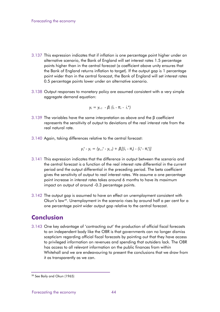- 3.137 This expression indicates that if inflation is one percentage point higher under an alternative scenario, the Bank of England will set interest rates 1.5 percentage points higher than in the central forecast (a coefficient above unity ensures that the Bank of England returns inflation to target). If the output gap is 1 percentage point wider than in the central forecast, the Bank of England will set interest rates 0.5 percentage points lower under an alternative scenario.
- 3.138 Output responses to monetary policy are assumed consistent with a very simple aggregate demand equation:

$$
y_t = y_{t-1} - \beta_i (i_t - \pi_t - i_t^*)
$$

- 3.139 The variables have the same interpretation as above and the β coefficient represents the sensitivity of output to deviations of the real interest rate from the real natural rate.
- 3.140 Again, taking differences relative to the central forecast:

$$
y_t^s - y_t = (y_{t-1}^s - y_{t-1}) + \beta_t [(i_t - \pi_t) - (i_t^s - \pi_t^s)]
$$

- 3.141 This expression indicates that the difference in output between the scenario and the central forecast is a function of the real interest rate differential in the current period and the output differential in the preceding period. The beta coefficient gives the sensitivity of output to real interest rates. We assume a one percentage point increase in interest rates takes around 6 months to have its maximum impact on output of around -0.3 percentage points.
- 3.142 The output gap is assumed to have an effect on unemployment consistent with Okun's law<sup>[38](#page-46-0)</sup>. Unemployment in the scenario rises by around half a per cent for a one percentage point wider output gap relative to the central forecast.

# <span id="page-47-0"></span>**Conclusion**

3.143 One key advantage of 'contracting out' the production of official fiscal forecasts to an independent body like the OBR is that governments can no longer dismiss scepticism regarding official fiscal forecasts by pointing out that they have access to privileged information on revenues and spending that outsiders lack. The OBR has access to all relevant information on the public finances from within Whitehall and we are endeavouring to present the conclusions that we draw from it as transparently as we can.

<sup>38</sup> See Baily and Okun (1965)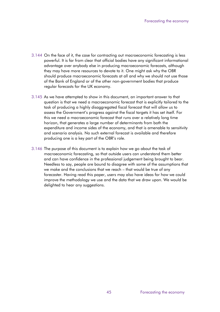- 3.144 On the face of it, the case for contracting out macroeconomic forecasting is less powerful. It is far from clear that official bodies have any significant informational advantage over anybody else in producing macroeconomic forecasts, although they may have more resources to devote to it. One might ask why the OBR should produce macroeconomic forecasts at all and why we should not use those of the Bank of England or of the other non-government bodies that produce regular forecasts for the UK economy.
- 3.145 As we have attempted to show in this document, an important answer to that question is that we need a macroeconomic forecast that is explicitly tailored to the task of producing a highly disaggregated fiscal forecast that will allow us to assess the Government's progress against the fiscal targets it has set itself. For this we need a macroeconomic forecast that runs over a relatively long time horizon, that generates a large number of determinants from both the expenditure and income sides of the economy, and that is amenable to sensitivity and scenario analysis. No such external forecast is available and therefore producing one is a key part of the OBR's role.
- 3.146 The purpose of this document is to explain how we go about the task of macroeconomic forecasting, so that outside users can understand them better and can have confidence in the professional judgement being brought to bear. Needless to say, people are bound to disagree with some of the assumptions that we make and the conclusions that we reach – that would be true of any forecaster. Having read this paper, users may also have ideas for how we could improve the methodology we use and the data that we draw upon. We would be delighted to hear any suggestions.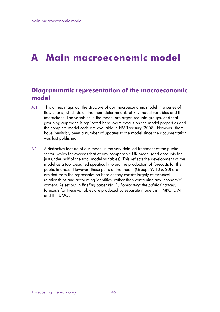# **A Main macroeconomic model**

# <span id="page-49-0"></span>**Diagrammatic representation of the macroeconomic model**

- A.1 This annex maps out the structure of our macroeconomic model in a series of flow charts, which detail the main determinants of key model variables and their interactions. The variables in the model are organised into groups, and that grouping approach is replicated here. More details on the model properties and the complete model code are available in HM Treasury (2008). However, there have inevitably been a number of updates to the model since the documentation was last published.
- A.2 A distinctive feature of our model is the very detailed treatment of the public sector, which far exceeds that of any comparable UK model (and accounts for just under half of the total model variables). This reflects the development of the model as a tool designed specifically to aid the production of forecasts for the public finances. However, these parts of the model (Groups 9, 10 & 20) are omitted from the representation here as they consist largely of technical relationships and accounting identities, rather than containing any 'economic' content. As set out in *Briefing paper No. 1: Forecasting the public finances*, forecasts for these variables are produced by separate models in HMRC, DWP and the DMO.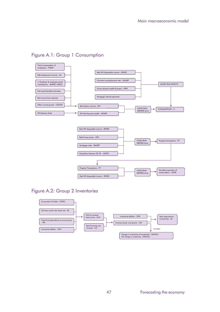## Figure A.1: Group 1 Consumption



## Figure A.2: Group 2 Inventories

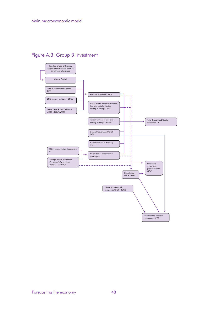Figure A.3: Group 3 Investment

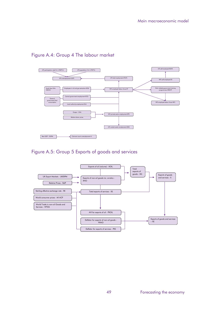### Figure A.4: Group 4 The labour market



## Figure A.5: Group 5 Exports of goods and services

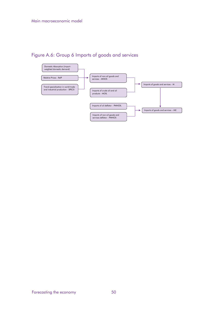# Figure A.6: Group 6 Imports of goods and services

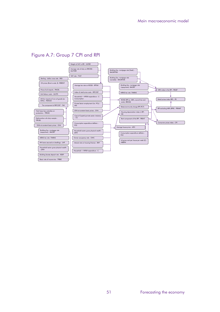

#### Figure A.7: Group 7 CPI and RPI

Basic rate of income tax - TPBRZ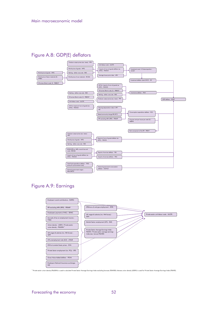### Figure A.8: GDP(E) deflators



## Figure A.9: Earnings

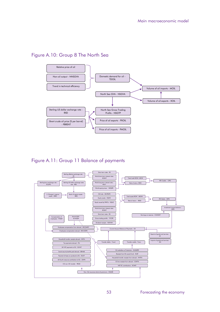### Figure A.10: Group 8 The North Sea





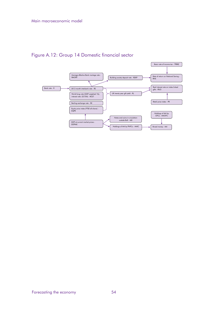Figure A.12: Group 14 Domestic financial sector

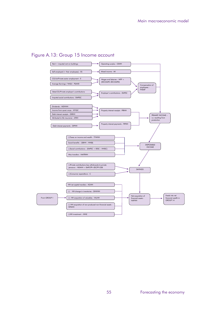#### Figure A.13: Group 15 Income account

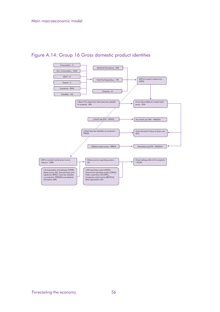## Figure A.14: Group 16 Gross domestic product identities

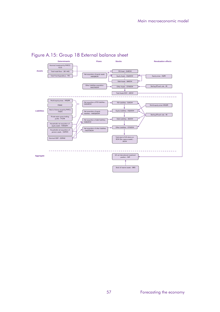

## Figure A.15: Group 18 External balance sheet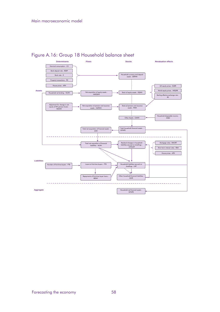

## Figure A.16: Group 18 Household balance sheet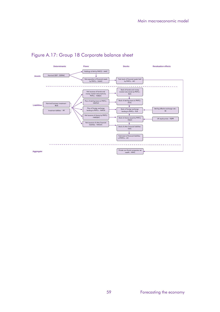

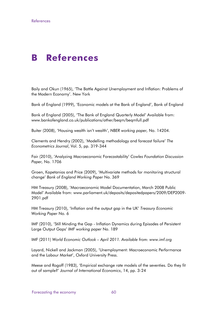# **B References**

<span id="page-63-0"></span>Baily and Okun (1965), 'The Battle Against Unemployment and Inflation: Problems of the Modern Economy'. New York

Bank of England (1999), 'Economic models at the Bank of England', Bank of England

Bank of England (2005), 'The Bank of England Quarterly Model' Available from: www.bankofengland.co.uk/publications/other/beqm/beqmfull.pdf

Buiter (2008), 'Housing wealth isn't wealth', *NBER working paper,* No. 14204.

Clements and Hendry (2002), 'Modelling methodology and forecast failure' *The Econometrics Journal*, Vol. 5, pp. 319-344

Fair (2010), 'Analyzing Macroeconomic Forecastability' *Cowles Foundation Discussion Paper,* No. 1706

Groen, Kapetanios and Price (2009), 'Multivariate methods for monitoring structural change' *Bank of England Working Paper* No. 369

HM Treasury (2008), 'Macroeconomic Model Documentation, March 2008 Public Model' Available from: www.parliament.uk/deposits/depositedpapers/2009/DEP2009- 2901.pdf

HM Treasury (2010), 'Inflation and the output gap in the UK' *Treasury Economic Working Paper* No. 6

IMF (2010), 'Still Minding the Gap - Inflation Dynamics during Episodes of Persistent Large Output Gaps' *IMF working paper* No. 189

IMF (2011) *World Economic Outlook – April 2011. Available from: www.imf.org*

Layard, Nickell and Jackman (2005), 'Unemployment: Macroeconomic Performance and the Labour Market', Oxford University Press.

Meese and Rogoff (1983), 'Empirical exchange rate models of the seventies. Do they fit out of sample?' *Journal of International Economics*, 14, pp. 3-24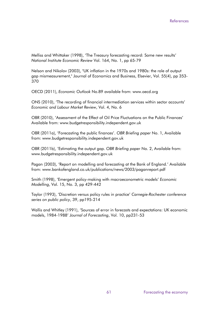Melliss and Whittaker (1998), 'The Treasury forecasting record: Some new results' *National Institute Economic Review* Vol. 164, No. 1, pp 65-79

Nelson and Nikolov (2003), "[UK inflation in the 1970s and 1980s: the role of output](http://ideas.repec.org/a/eee/jebusi/v55y2003i4p353-370.html)  [gap mismeasurement,](http://ideas.repec.org/a/eee/jebusi/v55y2003i4p353-370.html)" [Journal of Economics and Business,](http://ideas.repec.org/s/eee/jebusi.html) Elsevier, Vol. 55(4), pp 353- 370

OECD (2011), *Economic Outlook* No.89 available from: www.oecd.org

ONS (2010), 'The recording of financial intermediation services within sector accounts' *Economic and Labour Market Review*, Vol. 4, No. 6

OBR (2010), 'Assessment of the Effect of Oil Price Fluctuations on the Public Finances' Available from: www.budgetresponsibility.independent.gov.uk

OBR (2011a), 'Forecasting the public finances'. *OBR Briefing paper* No. 1, Available from: www.budgetresponsibility.independent.gov.uk

OBR (2011b), 'Estimating the output gap. *OBR Briefing paper* No. 2, Available from: www.budgetresponsibility.independent.gov.uk

Pagan (2003), 'Report on modelling and forecasting at the Bank of England.' Available from: www.bankofengland.co.uk/publications/news/2003/paganreport.pdf

Smith (1998), 'Emergent policy-making with macroeconometric models' *Economic Modelling*, Vol. 15, No. 3, pp 429-442

Taylor (1993), 'Discretion versus policy rules in practice' *Carnegie-Rochester conference series on public policy*, 39, pp195-214

Wallis and Whitley (1991), 'Sources of error in forecasts and expectations: UK economic models, 1984-1988' *Journal of Forecasting*, Vol. 10, pp231-53